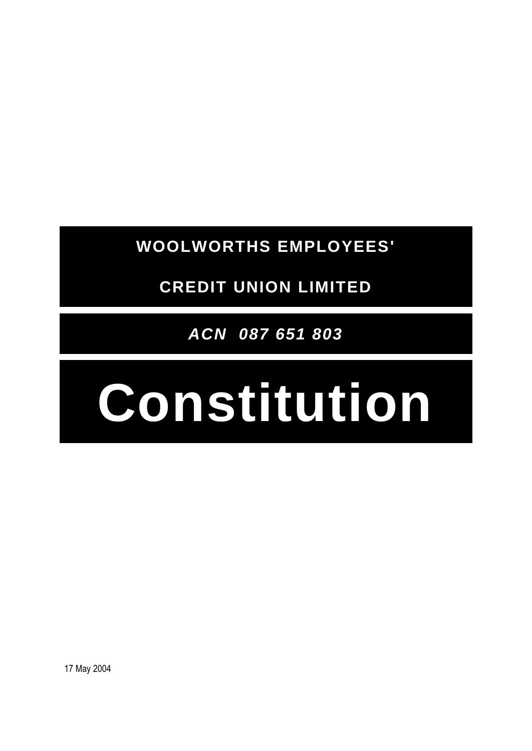**WOOLWORTHS EMPLOYEES'**

**CREDIT UNION LIMITED**

*ACN 087 651 803*

# **Constitution**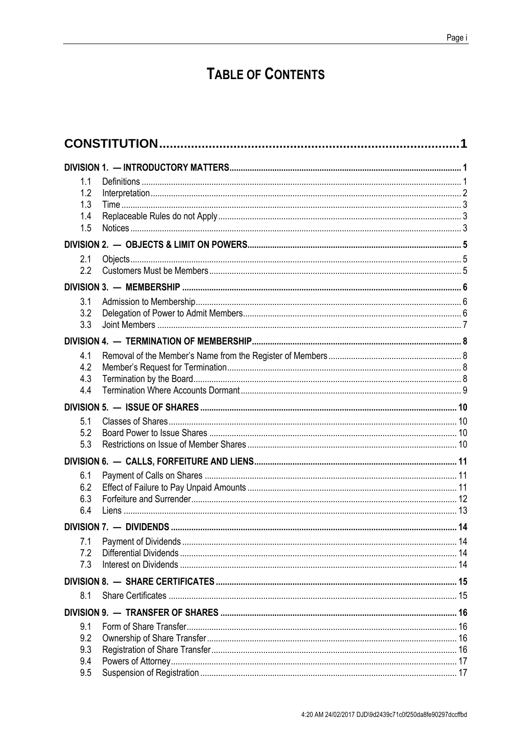## **TABLE OF CONTENTS**

| 1.1        |  |  |
|------------|--|--|
| 1.2        |  |  |
| 1.3        |  |  |
| 1.4        |  |  |
| 1.5        |  |  |
|            |  |  |
| 2.1        |  |  |
| 2.2        |  |  |
|            |  |  |
| 3.1        |  |  |
| 3.2        |  |  |
| 3.3        |  |  |
|            |  |  |
| 4.1        |  |  |
| 4.2        |  |  |
| 4.3        |  |  |
| 4.4        |  |  |
|            |  |  |
| 5.1        |  |  |
| 5.2        |  |  |
| 5.3        |  |  |
|            |  |  |
| 6.1        |  |  |
| 6.2        |  |  |
| 6.3<br>6.4 |  |  |
|            |  |  |
|            |  |  |
| 7.1        |  |  |
| 7.2<br>7.3 |  |  |
|            |  |  |
|            |  |  |
| 8.1        |  |  |
|            |  |  |
| 9.1        |  |  |
| 9.2<br>9.3 |  |  |
| 9.4        |  |  |
| 9.5        |  |  |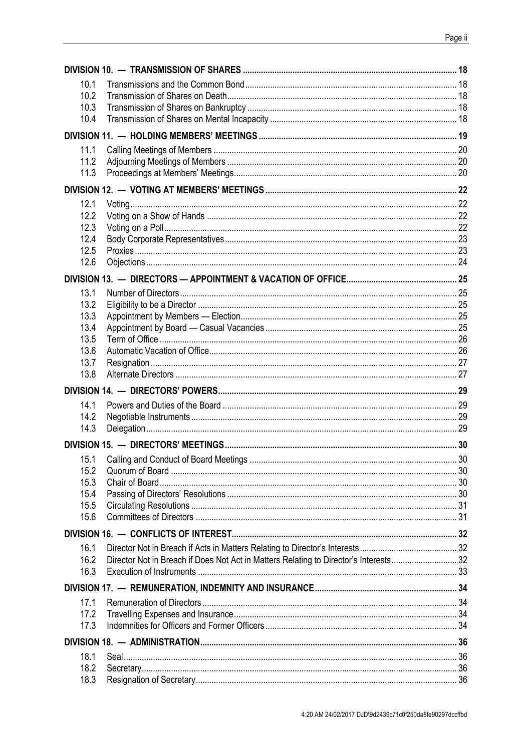| 10.1         |                                                                                       |  |
|--------------|---------------------------------------------------------------------------------------|--|
| 10.2         |                                                                                       |  |
| 10.3         |                                                                                       |  |
| 10.4         |                                                                                       |  |
|              |                                                                                       |  |
| 11.1         |                                                                                       |  |
| 11.2         |                                                                                       |  |
| 11.3         |                                                                                       |  |
|              |                                                                                       |  |
| 12.1         |                                                                                       |  |
| 12.2         |                                                                                       |  |
| 12.3         |                                                                                       |  |
| 12.4         |                                                                                       |  |
| 12.5         |                                                                                       |  |
| 12.6         |                                                                                       |  |
|              |                                                                                       |  |
| 13.1         |                                                                                       |  |
| 13.2         |                                                                                       |  |
| 13.3         |                                                                                       |  |
| 13.4         |                                                                                       |  |
| 13.5         |                                                                                       |  |
| 13.6         |                                                                                       |  |
| 13.7<br>13.8 |                                                                                       |  |
|              |                                                                                       |  |
|              |                                                                                       |  |
| 14.1         |                                                                                       |  |
| 14.2         |                                                                                       |  |
| 14.3         |                                                                                       |  |
|              |                                                                                       |  |
| 15.1         |                                                                                       |  |
| 15.2         |                                                                                       |  |
| 15.3         |                                                                                       |  |
| 15.4         |                                                                                       |  |
| 15.5<br>15.6 |                                                                                       |  |
|              |                                                                                       |  |
|              |                                                                                       |  |
| 16.1         |                                                                                       |  |
| 16.2         | Director Not in Breach if Does Not Act in Matters Relating to Director's Interests 32 |  |
| 16.3         |                                                                                       |  |
|              |                                                                                       |  |
| 17.1         |                                                                                       |  |
| 17.2         |                                                                                       |  |
| 17.3         |                                                                                       |  |
|              |                                                                                       |  |
| 18.1         |                                                                                       |  |
| 18.2         |                                                                                       |  |
| 18.3         |                                                                                       |  |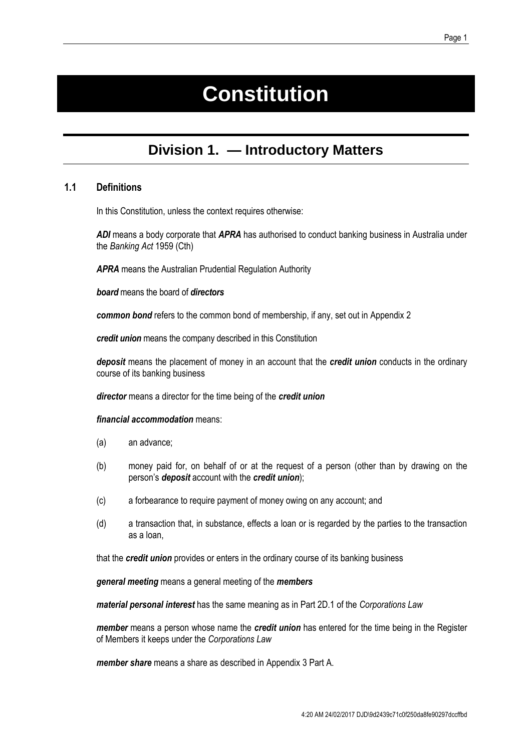## **Constitution**

## **Division 1. — Introductory Matters**

#### <span id="page-4-0"></span>**1.1 Definitions**

In this Constitution, unless the context requires otherwise:

*ADI* means a body corporate that *APRA* has authorised to conduct banking business in Australia under the *Banking Act* 1959 (Cth)

*APRA* means the Australian Prudential Regulation Authority

*board* means the board of *directors* 

*common bond* refers to the common bond of membership, if any, set out in [Appendix 2](#page-41-0)

*credit union* means the company described in this Constitution

*deposit* means the placement of money in an account that the *credit union* conducts in the ordinary course of its banking business

*director* means a director for the time being of the *credit union*

#### *financial accommodation* means:

- (a) an advance;
- (b) money paid for, on behalf of or at the request of a person (other than by drawing on the person's *deposit* account with the *credit union*);
- (c) a forbearance to require payment of money owing on any account; and
- (d) a transaction that, in substance, effects a loan or is regarded by the parties to the transaction as a loan,

that the *credit union* provides or enters in the ordinary course of its banking business

*general meeting* means a general meeting of the *members*

*material personal interest* has the same meaning as in Part 2D.1 of the *Corporations Law*

*member* means a person whose name the *credit union* has entered for the time being in the Register of Members it keeps under the *Corporations Law*

*member share* means a share as described in [Appendix 3](#page-42-0) Part A.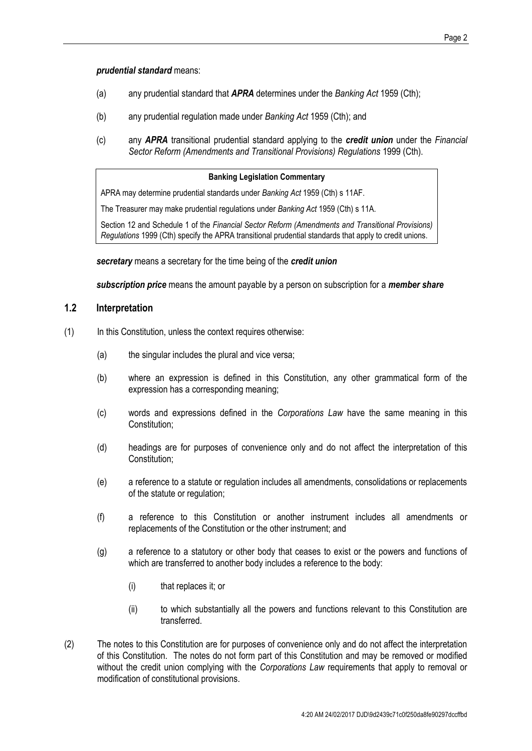*prudential standard* means:

- (a) any prudential standard that *APRA* determines under the *Banking Act* 1959 (Cth);
- (b) any prudential regulation made under *Banking Act* 1959 (Cth); and
- (c) any *APRA* transitional prudential standard applying to the *credit union* under the *Financial Sector Reform (Amendments and Transitional Provisions) Regulations* 1999 (Cth).

#### **Banking Legislation Commentary**

APRA may determine prudential standards under *Banking Act* 1959 (Cth) s 11AF.

The Treasurer may make prudential regulations under *Banking Act* 1959 (Cth) s 11A.

Section 12 and Schedule 1 of the *Financial Sector Reform (Amendments and Transitional Provisions) Regulations* 1999 (Cth) specify the APRA transitional prudential standards that apply to credit unions.

*secretary* means a secretary for the time being of the *credit union*

*subscription price* means the amount payable by a person on subscription for a *member share*

#### **1.2 Interpretation**

- (1) In this Constitution, unless the context requires otherwise:
	- (a) the singular includes the plural and vice versa;
	- (b) where an expression is defined in this Constitution, any other grammatical form of the expression has a corresponding meaning;
	- (c) words and expressions defined in the *Corporations Law* have the same meaning in this Constitution;
	- (d) headings are for purposes of convenience only and do not affect the interpretation of this Constitution;
	- (e) a reference to a statute or regulation includes all amendments, consolidations or replacements of the statute or regulation;
	- (f) a reference to this Constitution or another instrument includes all amendments or replacements of the Constitution or the other instrument; and
	- (g) a reference to a statutory or other body that ceases to exist or the powers and functions of which are transferred to another body includes a reference to the body:
		- (i) that replaces it; or
		- (ii) to which substantially all the powers and functions relevant to this Constitution are transferred.
- (2) The notes to this Constitution are for purposes of convenience only and do not affect the interpretation of this Constitution. The notes do not form part of this Constitution and may be removed or modified without the credit union complying with the *Corporations Law* requirements that apply to removal or modification of constitutional provisions.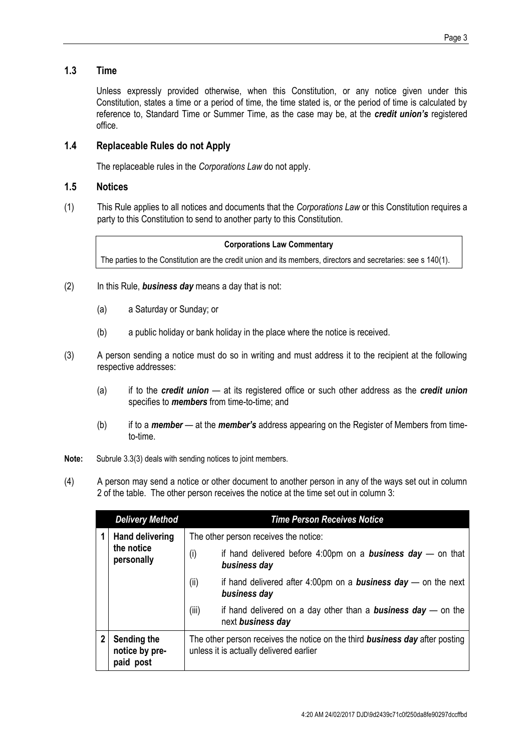#### **1.3 Time**

Unless expressly provided otherwise, when this Constitution, or any notice given under this Constitution, states a time or a period of time, the time stated is, or the period of time is calculated by reference to, Standard Time or Summer Time, as the case may be, at the *credit union's* registered office.

#### **1.4 Replaceable Rules do not Apply**

The replaceable rules in the *Corporations Law* do not apply.

#### **1.5 Notices**

(1) This Rule applies to all notices and documents that the *Corporations Law* or this Constitution requires a party to this Constitution to send to another party to this Constitution.

#### **Corporations Law Commentary**

The parties to the Constitution are the credit union and its members, directors and secretaries: see s 140(1).

- (2) In this Rule, *business day* means a day that is not:
	- (a) a Saturday or Sunday; or
	- (b) a public holiday or bank holiday in the place where the notice is received.
- (3) A person sending a notice must do so in writing and must address it to the recipient at the following respective addresses:
	- (a) if to the *credit union* at its registered office or such other address as the *credit union*  specifies to *members* from time-to-time; and
	- (b) if to a *member* at the *member's* address appearing on the Register of Members from timeto-time.
- **Note:** Subrule 3.3(3) deals with sending notices to joint members.
- <span id="page-6-0"></span>(4) A person may send a notice or other document to another person in any of the ways set out in column 2 of the table. The other person receives the notice at the time set out in column 3:

| <b>Delivery Method</b> |                                                    | <b>Time Person Receives Notice</b>                                                                                             |                                                                                             |
|------------------------|----------------------------------------------------|--------------------------------------------------------------------------------------------------------------------------------|---------------------------------------------------------------------------------------------|
|                        | <b>Hand delivering</b><br>the notice<br>personally |                                                                                                                                | The other person receives the notice:                                                       |
|                        |                                                    | (i)                                                                                                                            | if hand delivered before 4:00pm on a <b>business day</b> – on that<br>business day          |
|                        |                                                    | (ii)                                                                                                                           | if hand delivered after 4:00pm on a <b>business day</b> — on the next<br>business day       |
|                        |                                                    | (iii)                                                                                                                          | if hand delivered on a day other than a <b>business day</b> $-$ on the<br>next business day |
| 2                      | Sending the<br>notice by pre-<br>paid post         | The other person receives the notice on the third <b>business day</b> after posting<br>unless it is actually delivered earlier |                                                                                             |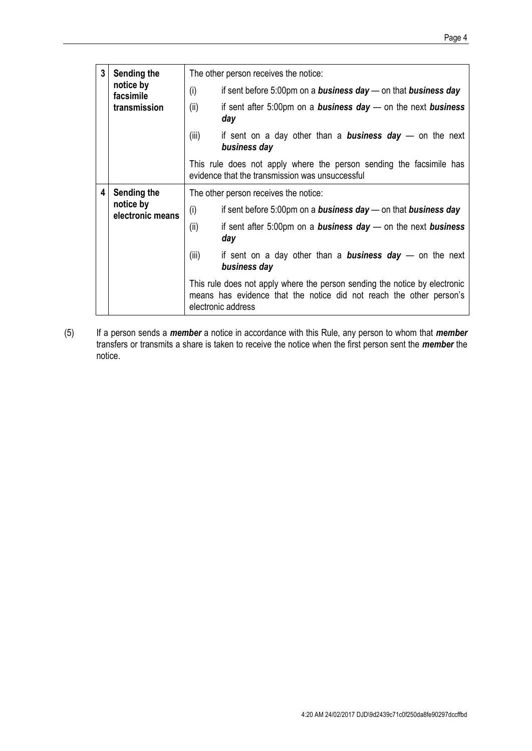| 3 | Sending the<br>notice by<br>facsimile<br>transmission | The other person receives the notice:                                                                                  |                                                                                                                                                                         |  |
|---|-------------------------------------------------------|------------------------------------------------------------------------------------------------------------------------|-------------------------------------------------------------------------------------------------------------------------------------------------------------------------|--|
|   |                                                       | (i)                                                                                                                    | if sent before 5:00pm on a <b>business day</b> — on that <b>business day</b>                                                                                            |  |
|   |                                                       | (ii)                                                                                                                   | if sent after 5:00pm on a <b>business day</b> — on the next <b>business</b><br>day                                                                                      |  |
|   |                                                       | (iii)                                                                                                                  | if sent on a day other than a <b>business day</b> — on the next<br>business day                                                                                         |  |
|   |                                                       | This rule does not apply where the person sending the facsimile has<br>evidence that the transmission was unsuccessful |                                                                                                                                                                         |  |
| 4 | Sending the                                           | The other person receives the notice:                                                                                  |                                                                                                                                                                         |  |
|   | notice by<br>electronic means                         | (i)                                                                                                                    | if sent before 5:00pm on a <b>business day</b> $-$ on that <b>business day</b>                                                                                          |  |
|   |                                                       | (ii)                                                                                                                   | if sent after $5:00$ pm on a <b>business day</b> — on the next <b>business</b><br>day                                                                                   |  |
|   |                                                       | (iii)                                                                                                                  | if sent on a day other than a <b>business day</b> — on the next<br>business day                                                                                         |  |
|   |                                                       |                                                                                                                        | This rule does not apply where the person sending the notice by electronic<br>means has evidence that the notice did not reach the other person's<br>electronic address |  |

(5) If a person sends a *member* a notice in accordance with this Rule, any person to whom that *member* transfers or transmits a share is taken to receive the notice when the first person sent the *member* the notice.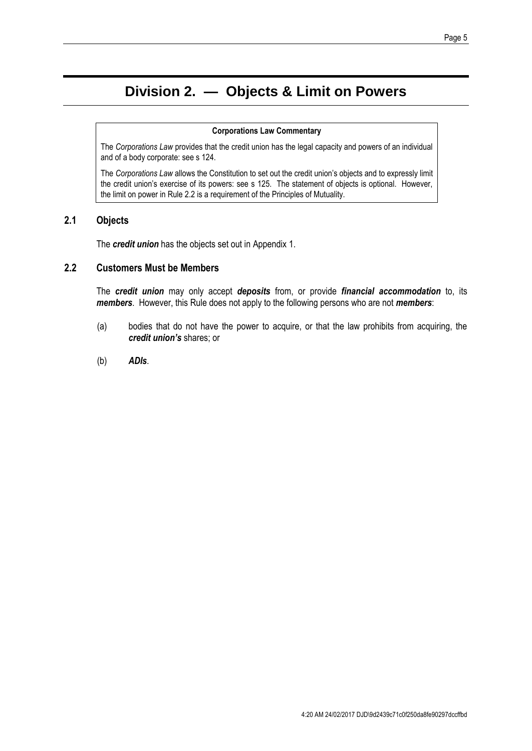#### Page 5

## **Division 2. — Objects & Limit on Powers**

#### **Corporations Law Commentary**

The *Corporations Law* provides that the credit union has the legal capacity and powers of an individual and of a body corporate: see s 124.

The *Corporations Law* allows the Constitution to set out the credit union's objects and to expressly limit the credit union's exercise of its powers: see s 125. The statement of objects is optional. However, the limit on power in Rule [2.2](#page-8-0) is a requirement of the Principles of Mutuality.

#### **2.1 Objects**

The *credit union* has the objects set out in [Appendix 1.](#page-40-0)

#### <span id="page-8-0"></span>**2.2 Customers Must be Members**

The *credit union* may only accept *deposits* from, or provide *financial accommodation* to, its *members*. However, this Rule does not apply to the following persons who are not *members*:

- (a) bodies that do not have the power to acquire, or that the law prohibits from acquiring, the *credit union's* shares; or
- (b) *ADIs*.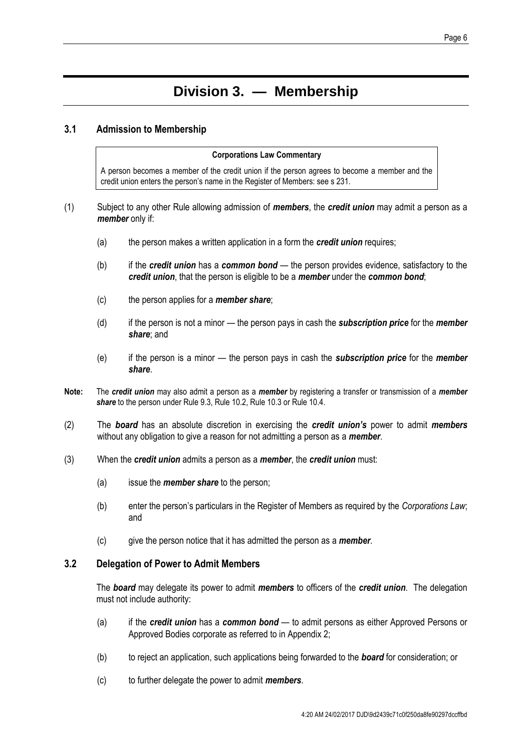## **Division 3. — Membership**

#### **3.1 Admission to Membership**

#### **Corporations Law Commentary**

A person becomes a member of the credit union if the person agrees to become a member and the credit union enters the person's name in the Register of Members: see s 231.

- <span id="page-9-0"></span>(1) Subject to any other Rule allowing admission of *members*, the *credit union* may admit a person as a *member* only if:
	- (a) the person makes a written application in a form the *credit union* requires;
	- (b) if the *credit union* has a *common bond*  the person provides evidence, satisfactory to the *credit union*, that the person is eligible to be a *member* under the *common bond*;
	- (c) the person applies for a *member share*;
	- (d) if the person is not a minor the person pays in cash the *subscription price* for the *member share*; and
	- (e) if the person is a minor the person pays in cash the *subscription price* for the *member share*.
- **Note:** The *credit union* may also admit a person as a *member* by registering a transfer or transmission of a *member share* to the person under Rul[e 9.3,](#page-19-0) Rul[e 10.2,](#page-21-0) Rul[e 10.3](#page-21-1) or Rule [10.4.](#page-21-2)
- (2) The *board* has an absolute discretion in exercising the *credit union's* power to admit *members*  without any obligation to give a reason for not admitting a person as a *member*.
- <span id="page-9-2"></span>(3) When the *credit union* admits a person as a *member*, the *credit union* must:
	- (a) issue the *member share* to the person;
	- (b) enter the person's particulars in the Register of Members as required by the *Corporations Law*; and
	- (c) give the person notice that it has admitted the person as a *member*.

#### <span id="page-9-1"></span>**3.2 Delegation of Power to Admit Members**

The *board* may delegate its power to admit *members* to officers of the *credit union*. The delegation must not include authority:

- (a) if the *credit union* has a *common bond*  to admit persons as either Approved Persons or Approved Bodies corporate as referred to in Appendix 2;
- (b) to reject an application, such applications being forwarded to the *board* for consideration; or
- (c) to further delegate the power to admit *members*.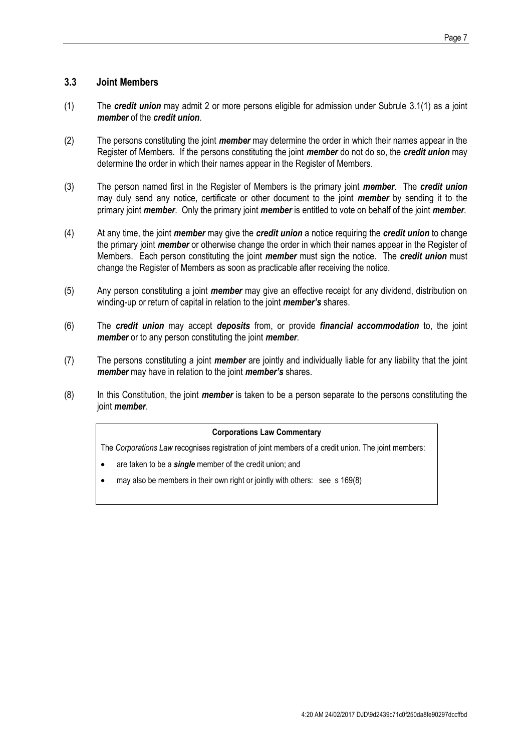#### <span id="page-10-0"></span>**3.3 Joint Members**

- (1) The *credit union* may admit 2 or more persons eligible for admission under Subrule [3.1\(1\)](#page-9-0) as a joint *member* of the *credit union*.
- (2) The persons constituting the joint *member* may determine the order in which their names appear in the Register of Members. If the persons constituting the joint *member* do not do so, the *credit union* may determine the order in which their names appear in the Register of Members.
- <span id="page-10-1"></span>(3) The person named first in the Register of Members is the primary joint *member*. The *credit union*  may duly send any notice, certificate or other document to the joint *member* by sending it to the primary joint *member*. Only the primary joint *member* is entitled to vote on behalf of the joint *member*.
- (4) At any time, the joint *member* may give the *credit union* a notice requiring the *credit union* to change the primary joint *member* or otherwise change the order in which their names appear in the Register of Members. Each person constituting the joint *member* must sign the notice. The *credit union* must change the Register of Members as soon as practicable after receiving the notice.
- (5) Any person constituting a joint *member* may give an effective receipt for any dividend, distribution on winding-up or return of capital in relation to the joint *member's* shares.
- (6) The *credit union* may accept *deposits* from, or provide *financial accommodation* to, the joint *member* or to any person constituting the joint *member*.
- (7) The persons constituting a joint *member* are jointly and individually liable for any liability that the joint *member* may have in relation to the joint *member's* shares.
- (8) In this Constitution, the joint *member* is taken to be a person separate to the persons constituting the joint *member*.

#### **Corporations Law Commentary**

The *Corporations Law* recognises registration of joint members of a credit union. The joint members:

- are taken to be a *single* member of the credit union; and
- may also be members in their own right or jointly with others: see s 169(8)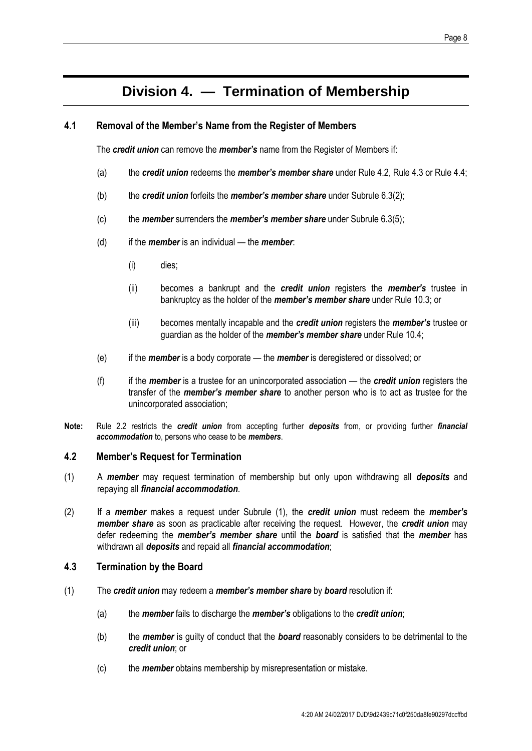## **Division 4. — Termination of Membership**

#### **4.1 Removal of the Member's Name from the Register of Members**

The *credit union* can remove the *member's* name from the Register of Members if:

- (a) the *credit union* redeems the *member's member share* under Rul[e 4.2,](#page-11-0) Rule [4.3](#page-11-1) or Rule [4.4;](#page-12-0)
- (b) the *credit union* forfeits the *member's member share* under Subrule [6.3\(2\);](#page-15-0)
- (c) the *member* surrenders the *member's member share* under Subrul[e 6.3\(5\);](#page-15-1)
- (d) if the *member* is an individual the *member*:
	- (i) dies;
	- (ii) becomes a bankrupt and the *credit union* registers the *member's* trustee in bankruptcy as the holder of the *member's member share* under Rule [10.3;](#page-21-1) or
	- (iii) becomes mentally incapable and the *credit union* registers the *member's* trustee or guardian as the holder of the *member's member share* under Rule [10.4;](#page-21-2)
- (e) if the *member* is a body corporate the *member* is deregistered or dissolved; or
- (f) if the *member* is a trustee for an unincorporated association the *credit union* registers the transfer of the *member's member share* to another person who is to act as trustee for the unincorporated association;
- **Note:** Rule 2.2 restricts the *credit union* from accepting further *deposits* from, or providing further *financial accommodation* to, persons who cease to be *members*.

#### <span id="page-11-0"></span>**4.2 Member's Request for Termination**

- (1) A *member* may request termination of membership but only upon withdrawing all *deposits* and repaying all *financial accommodation*.
- (2) If a *member* makes a request under Subrule (1), the *credit union* must redeem the *member's member share* as soon as practicable after receiving the request. However, the *credit union* may defer redeeming the *member's member share* until the *board* is satisfied that the *member* has withdrawn all *deposits* and repaid all *financial accommodation*;

#### <span id="page-11-1"></span>**4.3 Termination by the Board**

- (1) The *credit union* may redeem a *member's member share* by *board* resolution if:
	- (a) the *member* fails to discharge the *member's* obligations to the *credit union*;
	- (b) the *member* is guilty of conduct that the *board* reasonably considers to be detrimental to the *credit union*; or
	- (c) the *member* obtains membership by misrepresentation or mistake.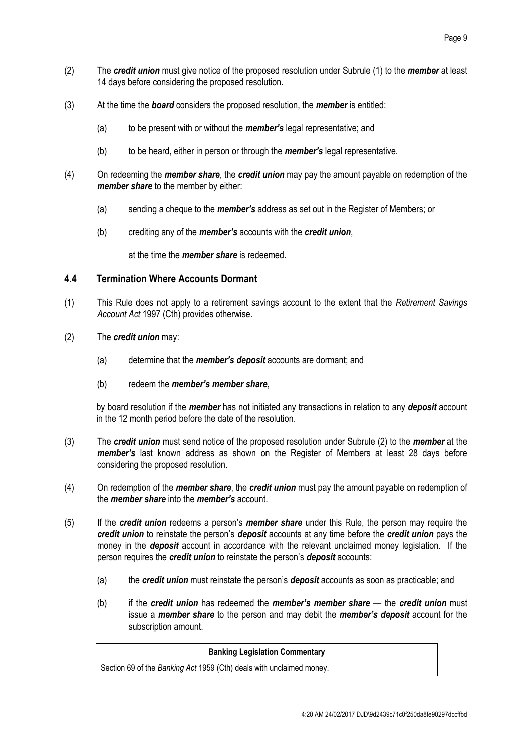- (2) The *credit union* must give notice of the proposed resolution under Subrule (1) to the *member* at least 14 days before considering the proposed resolution.
- (3) At the time the *board* considers the proposed resolution, the *member* is entitled:
	- (a) to be present with or without the *member's* legal representative; and
	- (b) to be heard, either in person or through the *member's* legal representative.
- (4) On redeeming the *member share*, the *credit union* may pay the amount payable on redemption of the *member share* to the member by either:
	- (a) sending a cheque to the *member's* address as set out in the Register of Members; or
	- (b) crediting any of the *member's* accounts with the *credit union*,

at the time the *member share* is redeemed.

#### <span id="page-12-0"></span>**4.4 Termination Where Accounts Dormant**

- (1) This Rule does not apply to a retirement savings account to the extent that the *Retirement Savings Account Act* 1997 (Cth) provides otherwise.
- (2) The *credit union* may:
	- (a) determine that the *member's deposit* accounts are dormant; and
	- (b) redeem the *member's member share*,

by board resolution if the *member* has not initiated any transactions in relation to any *deposit* account in the 12 month period before the date of the resolution.

- (3) The *credit union* must send notice of the proposed resolution under Subrule (2) to the *member* at the *member's* last known address as shown on the Register of Members at least 28 days before considering the proposed resolution.
- (4) On redemption of the *member share*, the *credit union* must pay the amount payable on redemption of the *member share* into the *member's* account.
- (5) If the *credit union* redeems a person's *member share* under this Rule, the person may require the *credit union* to reinstate the person's *deposit* accounts at any time before the *credit union* pays the money in the *deposit* account in accordance with the relevant unclaimed money legislation. If the person requires the *credit union* to reinstate the person's *deposit* accounts:
	- (a) the *credit union* must reinstate the person's *deposit* accounts as soon as practicable; and
	- (b) if the *credit union* has redeemed the *member's member share* the *credit union* must issue a *member share* to the person and may debit the *member's deposit* account for the subscription amount.

#### **Banking Legislation Commentary**

Section 69 of the *Banking Act* 1959 (Cth) deals with unclaimed money.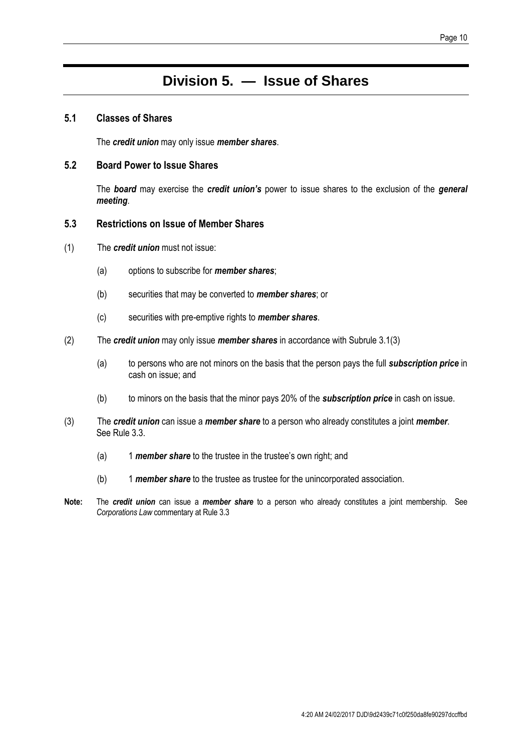## **Division 5. — Issue of Shares**

#### **5.1 Classes of Shares**

The *credit union* may only issue *member shares*.

#### **5.2 Board Power to Issue Shares**

The *board* may exercise the *credit union's* power to issue shares to the exclusion of the *general meeting*.

#### **5.3 Restrictions on Issue of Member Shares**

- (1) The *credit union* must not issue:
	- (a) options to subscribe for *member shares*;
	- (b) securities that may be converted to *member shares*; or
	- (c) securities with pre-emptive rights to *member shares*.
- (2) The *credit union* may only issue *member shares* in accordance with Subrule 3.1(3)
	- (a) to persons who are not minors on the basis that the person pays the full *subscription price* in cash on issue; and
	- (b) to minors on the basis that the minor pays 20% of the *subscription price* in cash on issue.
- (3) The *credit union* can issue a *member share* to a person who already constitutes a joint *member*. See Rule 3.3.
	- (a) 1 *member share* to the trustee in the trustee's own right; and
	- (b) 1 *member share* to the trustee as trustee for the unincorporated association.
- **Note:** The *credit union* can issue a *member share* to a person who already constitutes a joint membership. See *Corporations Law* commentary at Rul[e 3.3](#page-10-0)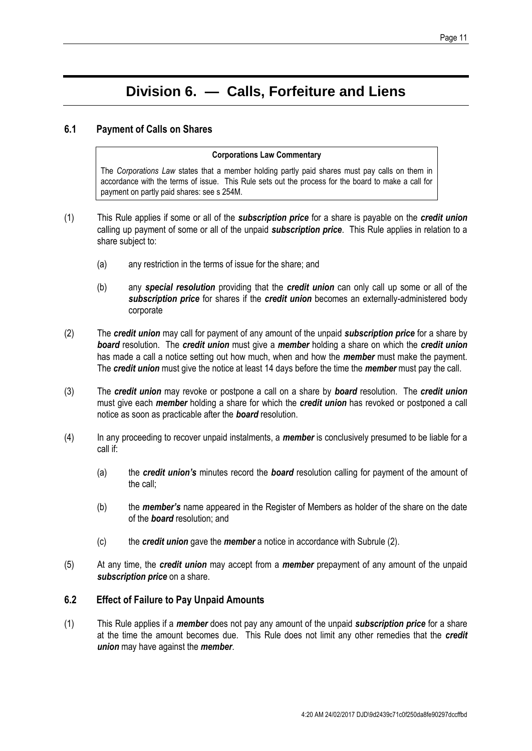## **Division 6. — Calls, Forfeiture and Liens**

#### <span id="page-14-1"></span>**6.1 Payment of Calls on Shares**

#### **Corporations Law Commentary**

The *Corporations Law* states that a member holding partly paid shares must pay calls on them in accordance with the terms of issue. This Rule sets out the process for the board to make a call for payment on partly paid shares: see s 254M.

- (1) This Rule applies if some or all of the *subscription price* for a share is payable on the *credit union*  calling up payment of some or all of the unpaid *subscription price*. This Rule applies in relation to a share subject to:
	- (a) any restriction in the terms of issue for the share; and
	- (b) any *special resolution* providing that the *credit union* can only call up some or all of the *subscription price* for shares if the *credit union* becomes an externally-administered body corporate
- <span id="page-14-0"></span>(2) The *credit union* may call for payment of any amount of the unpaid *subscription price* for a share by *board* resolution. The *credit union* must give a *member* holding a share on which the *credit union*  has made a call a notice setting out how much, when and how the *member* must make the payment. The *credit union* must give the notice at least 14 days before the time the *member* must pay the call.
- (3) The *credit union* may revoke or postpone a call on a share by *board* resolution. The *credit union*  must give each *member* holding a share for which the *credit union* has revoked or postponed a call notice as soon as practicable after the *board* resolution.
- (4) In any proceeding to recover unpaid instalments, a *member* is conclusively presumed to be liable for a call if:
	- (a) the *credit union's* minutes record the *board* resolution calling for payment of the amount of the call;
	- (b) the *member's* name appeared in the Register of Members as holder of the share on the date of the *board* resolution; and
	- (c) the *credit union* gave the *member* a notice in accordance with Subrule [\(2\).](#page-14-0)
- (5) At any time, the *credit union* may accept from a *member* prepayment of any amount of the unpaid *subscription price* on a share.

#### <span id="page-14-2"></span>**6.2 Effect of Failure to Pay Unpaid Amounts**

(1) This Rule applies if a *member* does not pay any amount of the unpaid *subscription price* for a share at the time the amount becomes due. This Rule does not limit any other remedies that the *credit union* may have against the *member*.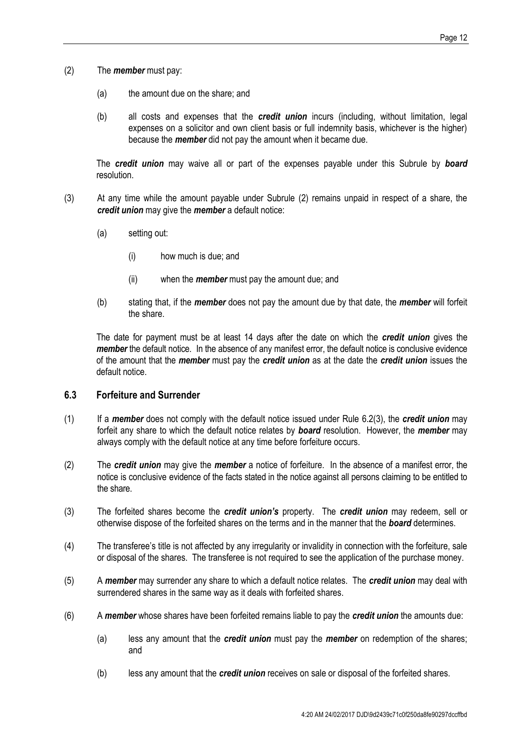- <span id="page-15-2"></span>(2) The *member* must pay:
	- (a) the amount due on the share; and
	- (b) all costs and expenses that the *credit union* incurs (including, without limitation, legal expenses on a solicitor and own client basis or full indemnity basis, whichever is the higher) because the *member* did not pay the amount when it became due.

The *credit union* may waive all or part of the expenses payable under this Subrule by *board*  resolution.

- <span id="page-15-3"></span>(3) At any time while the amount payable under Subrule [\(2\)](#page-15-2) remains unpaid in respect of a share, the *credit union* may give the *member* a default notice:
	- (a) setting out:
		- (i) how much is due; and
		- (ii) when the *member* must pay the amount due; and
	- (b) stating that, if the *member* does not pay the amount due by that date, the *member* will forfeit the share.

The date for payment must be at least 14 days after the date on which the *credit union* gives the *member* the default notice. In the absence of any manifest error, the default notice is conclusive evidence of the amount that the *member* must pay the *credit union* as at the date the *credit union* issues the default notice.

#### <span id="page-15-4"></span>**6.3 Forfeiture and Surrender**

- (1) If a *member* does not comply with the default notice issued under Rule [6.2\(3\),](#page-15-3) the *credit union* may forfeit any share to which the default notice relates by *board* resolution. However, the *member* may always comply with the default notice at any time before forfeiture occurs.
- <span id="page-15-0"></span>(2) The *credit union* may give the *member* a notice of forfeiture. In the absence of a manifest error, the notice is conclusive evidence of the facts stated in the notice against all persons claiming to be entitled to the share.
- (3) The forfeited shares become the *credit union's* property. The *credit union* may redeem, sell or otherwise dispose of the forfeited shares on the terms and in the manner that the *board* determines.
- (4) The transferee's title is not affected by any irregularity or invalidity in connection with the forfeiture, sale or disposal of the shares. The transferee is not required to see the application of the purchase money.
- <span id="page-15-1"></span>(5) A *member* may surrender any share to which a default notice relates. The *credit union* may deal with surrendered shares in the same way as it deals with forfeited shares.
- (6) A *member* whose shares have been forfeited remains liable to pay the *credit union* the amounts due:
	- (a) less any amount that the *credit union* must pay the *member* on redemption of the shares; and
	- (b) less any amount that the *credit union* receives on sale or disposal of the forfeited shares.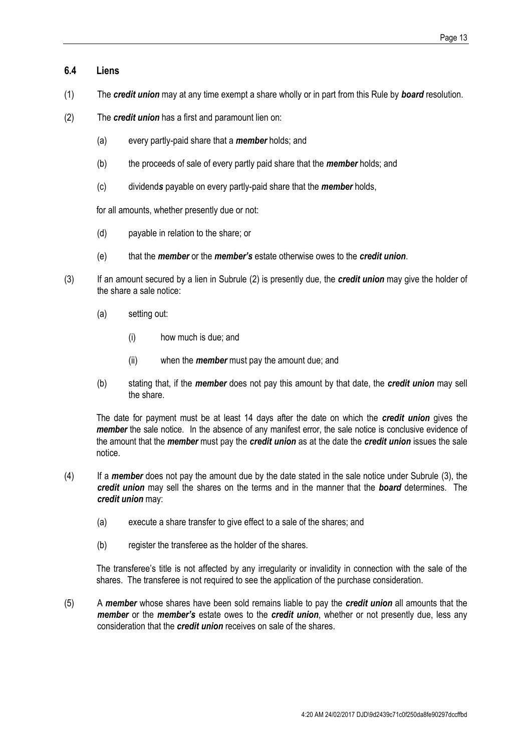#### **6.4 Liens**

- (1) The *credit union* may at any time exempt a share wholly or in part from this Rule by *board* resolution.
- <span id="page-16-0"></span>(2) The *credit union* has a first and paramount lien on:
	- (a) every partly-paid share that a *member* holds; and
	- (b) the proceeds of sale of every partly paid share that the *member* holds; and
	- (c) dividend*s* payable on every partly-paid share that the *member* holds,

for all amounts, whether presently due or not:

- (d) payable in relation to the share; or
- (e) that the *member* or the *member's* estate otherwise owes to the *credit union*.
- <span id="page-16-1"></span>(3) If an amount secured by a lien in Subrule [\(2\)](#page-16-0) is presently due, the *credit union* may give the holder of the share a sale notice:
	- (a) setting out:
		- (i) how much is due; and
		- (ii) when the *member* must pay the amount due; and
	- (b) stating that, if the *member* does not pay this amount by that date, the *credit union* may sell the share.

The date for payment must be at least 14 days after the date on which the *credit union* gives the *member* the sale notice. In the absence of any manifest error, the sale notice is conclusive evidence of the amount that the *member* must pay the *credit union* as at the date the *credit union* issues the sale notice.

- (4) If a *member* does not pay the amount due by the date stated in the sale notice under Subrule [\(3\),](#page-16-1) the *credit union* may sell the shares on the terms and in the manner that the *board* determines. The *credit union* may:
	- (a) execute a share transfer to give effect to a sale of the shares; and
	- (b) register the transferee as the holder of the shares.

The transferee's title is not affected by any irregularity or invalidity in connection with the sale of the shares. The transferee is not required to see the application of the purchase consideration.

(5) A *member* whose shares have been sold remains liable to pay the *credit union* all amounts that the *member* or the *member's* estate owes to the *credit union*, whether or not presently due, less any consideration that the *credit union* receives on sale of the shares.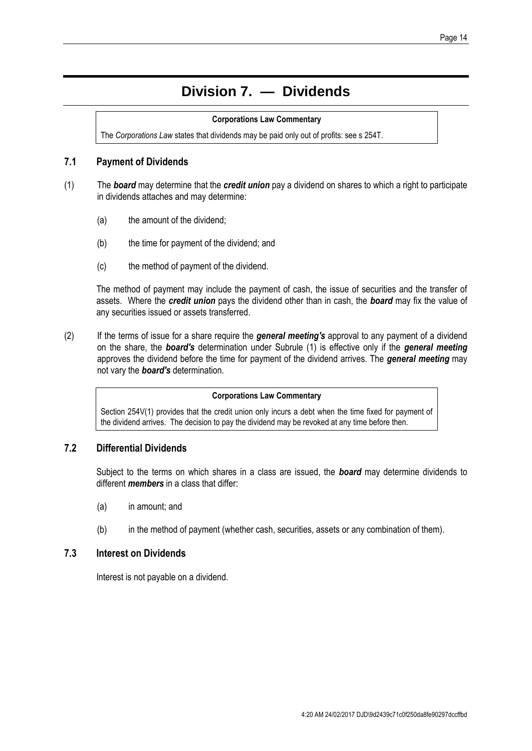## **Division 7. — Dividends**

#### **Corporations Law Commentary**

The *Corporations Law* states that dividends may be paid only out of profits: see s 254T.

#### **7.1 Payment of Dividends**

- (1) The *board* may determine that the *credit union* pay a dividend on shares to which a right to participate in dividends attaches and may determine:
	- (a) the amount of the dividend;
	- (b) the time for payment of the dividend; and
	- (c) the method of payment of the dividend.

The method of payment may include the payment of cash, the issue of securities and the transfer of assets. Where the *credit union* pays the dividend other than in cash, the *board* may fix the value of any securities issued or assets transferred.

(2) If the terms of issue for a share require the *general meeting's* approval to any payment of a dividend on the share, the *board's* determination under Subrule (1) is effective only if the *general meeting* approves the dividend before the time for payment of the dividend arrives. The *general meeting* may not vary the *board's* determination.

#### **Corporations Law Commentary**

Section 254V(1) provides that the credit union only incurs a debt when the time fixed for payment of the dividend arrives. The decision to pay the dividend may be revoked at any time before then.

#### **7.2 Differential Dividends**

Subject to the terms on which shares in a class are issued, the *board* may determine dividends to different *members* in a class that differ:

- (a) in amount; and
- (b) in the method of payment (whether cash, securities, assets or any combination of them).

#### **7.3 Interest on Dividends**

Interest is not payable on a dividend.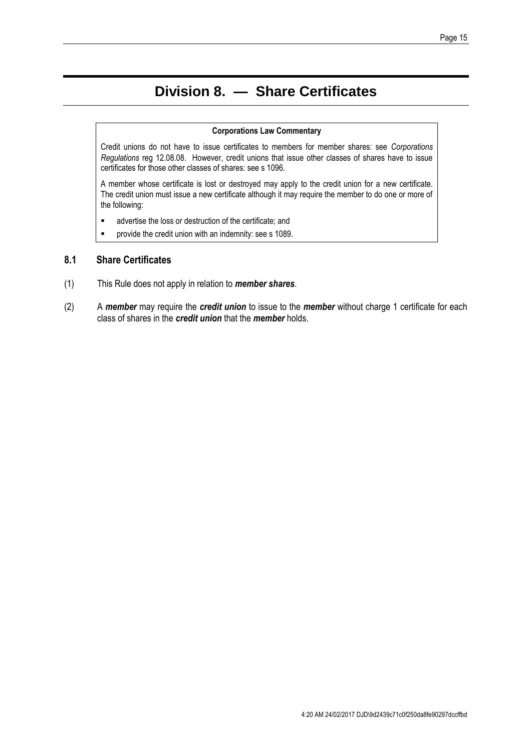## **Division 8. — Share Certificates**

#### **Corporations Law Commentary**

Credit unions do not have to issue certificates to members for member shares: see *Corporations Regulations* reg 12.08.08. However, credit unions that issue other classes of shares have to issue certificates for those other classes of shares: see s 1096.

A member whose certificate is lost or destroyed may apply to the credit union for a new certificate. The credit union must issue a new certificate although it may require the member to do one or more of the following:

- advertise the loss or destruction of the certificate; and
- **PEDE FIGHT FIGHT CONTER** Provide the credit union with an indemnity: see s 1089.

#### **8.1 Share Certificates**

- (1) This Rule does not apply in relation to *member shares*.
- (2) A *member* may require the *credit union* to issue to the *member* without charge 1 certificate for each class of shares in the *credit union* that the *member* holds.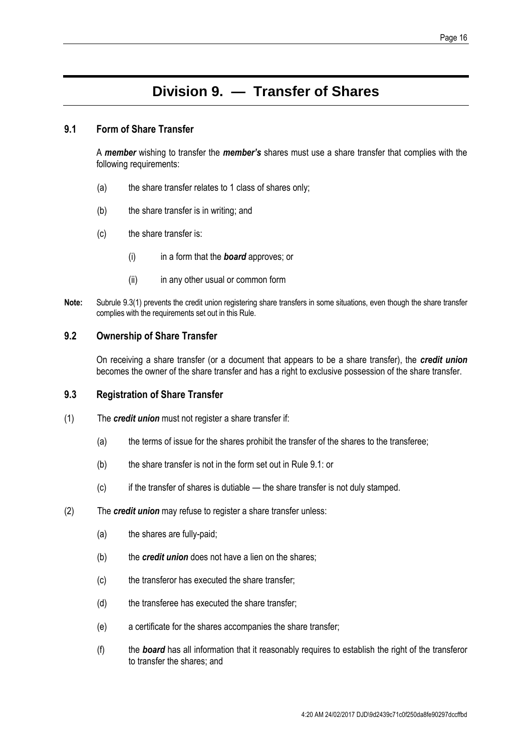### **Division 9. — Transfer of Shares**

#### <span id="page-19-2"></span>**9.1 Form of Share Transfer**

A *member* wishing to transfer the *member's* shares must use a share transfer that complies with the following requirements:

- (a) the share transfer relates to 1 class of shares only;
- (b) the share transfer is in writing; and
- (c) the share transfer is:
	- (i) in a form that the *board* approves; or
	- (ii) in any other usual or common form
- **Note:** Subrule [9.3\(1\)](#page-19-1) prevents the credit union registering share transfers in some situations, even though the share transfer complies with the requirements set out in this Rule.

#### **9.2 Ownership of Share Transfer**

On receiving a share transfer (or a document that appears to be a share transfer), the *credit union*  becomes the owner of the share transfer and has a right to exclusive possession of the share transfer.

#### <span id="page-19-0"></span>**9.3 Registration of Share Transfer**

- <span id="page-19-1"></span>(1) The *credit union* must not register a share transfer if:
	- (a) the terms of issue for the shares prohibit the transfer of the shares to the transferee;
	- (b) the share transfer is not in the form set out in Rul[e 9.1:](#page-19-2) or
	- (c) if the transfer of shares is dutiable the share transfer is not duly stamped.
- (2) The *credit union* may refuse to register a share transfer unless:
	- (a) the shares are fully-paid;
	- (b) the *credit union* does not have a lien on the shares;
	- (c) the transferor has executed the share transfer;
	- (d) the transferee has executed the share transfer;
	- (e) a certificate for the shares accompanies the share transfer;
	- (f) the *board* has all information that it reasonably requires to establish the right of the transferor to transfer the shares; and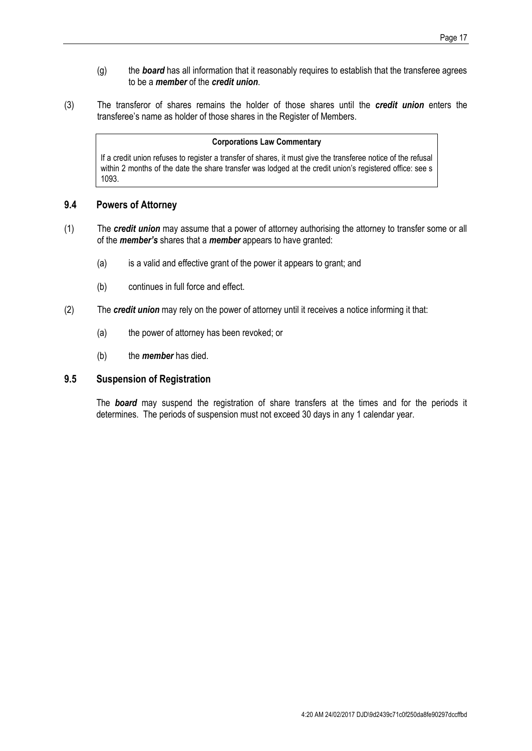- (g) the *board* has all information that it reasonably requires to establish that the transferee agrees to be a *member* of the *credit union*.
- (3) The transferor of shares remains the holder of those shares until the *credit union* enters the transferee's name as holder of those shares in the Register of Members.

#### **Corporations Law Commentary**

If a credit union refuses to register a transfer of shares, it must give the transferee notice of the refusal within 2 months of the date the share transfer was lodged at the credit union's registered office: see s 1093.

#### **9.4 Powers of Attorney**

- (1) The *credit union* may assume that a power of attorney authorising the attorney to transfer some or all of the *member's* shares that a *member* appears to have granted:
	- (a) is a valid and effective grant of the power it appears to grant; and
	- (b) continues in full force and effect.
- (2) The *credit union* may rely on the power of attorney until it receives a notice informing it that:
	- (a) the power of attorney has been revoked; or
	- (b) the *member* has died.

#### **9.5 Suspension of Registration**

The *board* may suspend the registration of share transfers at the times and for the periods it determines. The periods of suspension must not exceed 30 days in any 1 calendar year.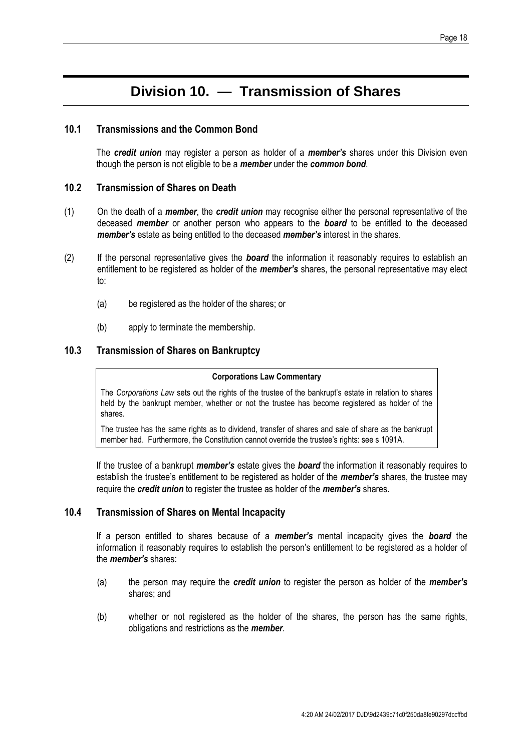## **Division 10. — Transmission of Shares**

#### **10.1 Transmissions and the Common Bond**

The *credit union* may register a person as holder of a *member's* shares under this Division even though the person is not eligible to be a *member* under the *common bond*.

#### <span id="page-21-0"></span>**10.2 Transmission of Shares on Death**

- (1) On the death of a *member*, the *credit union* may recognise either the personal representative of the deceased *member* or another person who appears to the *board* to be entitled to the deceased *member's* estate as being entitled to the deceased *member's* interest in the shares.
- (2) If the personal representative gives the *board* the information it reasonably requires to establish an entitlement to be registered as holder of the *member's* shares, the personal representative may elect to:
	- (a) be registered as the holder of the shares; or
	- (b) apply to terminate the membership.

#### <span id="page-21-1"></span>**10.3 Transmission of Shares on Bankruptcy**

#### **Corporations Law Commentary**

The *Corporations Law* sets out the rights of the trustee of the bankrupt's estate in relation to shares held by the bankrupt member, whether or not the trustee has become registered as holder of the shares.

The trustee has the same rights as to dividend, transfer of shares and sale of share as the bankrupt member had. Furthermore, the Constitution cannot override the trustee's rights: see s 1091A.

If the trustee of a bankrupt *member's* estate gives the *board* the information it reasonably requires to establish the trustee's entitlement to be registered as holder of the *member's* shares, the trustee may require the *credit union* to register the trustee as holder of the *member's* shares.

#### <span id="page-21-2"></span>**10.4 Transmission of Shares on Mental Incapacity**

If a person entitled to shares because of a *member's* mental incapacity gives the *board* the information it reasonably requires to establish the person's entitlement to be registered as a holder of the *member's* shares:

- (a) the person may require the *credit union* to register the person as holder of the *member's*  shares; and
- (b) whether or not registered as the holder of the shares, the person has the same rights, obligations and restrictions as the *member*.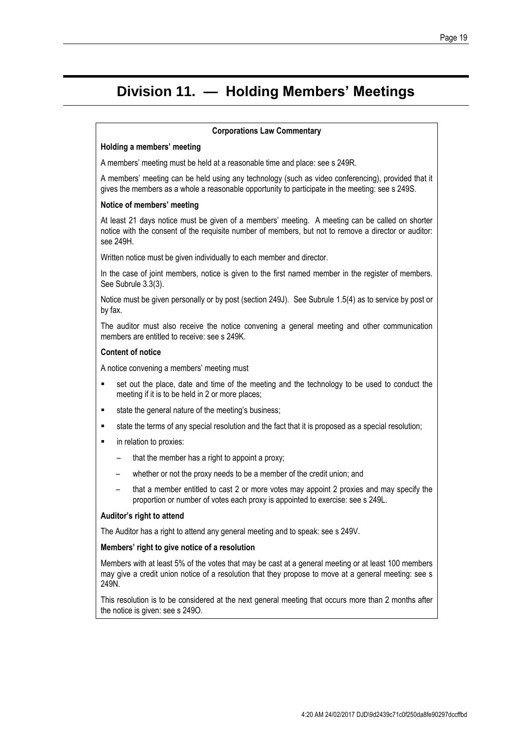#### Page 19

## **Division 11. — Holding Members' Meetings**

#### **Corporations Law Commentary**

#### **Holding a members' meeting**

A members' meeting must be held at a reasonable time and place: see s 249R.

A members' meeting can be held using any technology (such as video conferencing), provided that it gives the members as a whole a reasonable opportunity to participate in the meeting: see s 249S.

#### **Notice of members' meeting**

At least 21 days notice must be given of a members' meeting. A meeting can be called on shorter notice with the consent of the requisite number of members, but not to remove a director or auditor: see 249H.

Written notice must be given individually to each member and director.

In the case of joint members, notice is given to the first named member in the register of members. See Subrule [3.3\(3\).](#page-10-1)

Notice must be given personally or by post (section 249J). See Subrule [1.5\(4\)](#page-6-0) as to service by post or by fax.

The auditor must also receive the notice convening a general meeting and other communication members are entitled to receive: see s 249K.

#### **Content of notice**

A notice convening a members' meeting must

- set out the place, date and time of the meeting and the technology to be used to conduct the meeting if it is to be held in 2 or more places;
- **state the general nature of the meeting's business;**
- state the terms of any special resolution and the fact that it is proposed as a special resolution;
- **EXEC** in relation to proxies:
	- that the member has a right to appoint a proxy;
	- whether or not the proxy needs to be a member of the credit union; and
	- that a member entitled to cast 2 or more votes may appoint 2 proxies and may specify the proportion or number of votes each proxy is appointed to exercise: see s 249L.

#### **Auditor's right to attend**

The Auditor has a right to attend any general meeting and to speak: see s 249V.

#### **Members' right to give notice of a resolution**

Members with at least 5% of the votes that may be cast at a general meeting or at least 100 members may give a credit union notice of a resolution that they propose to move at a general meeting: see s 249N.

This resolution is to be considered at the next general meeting that occurs more than 2 months after the notice is given: see s 249O.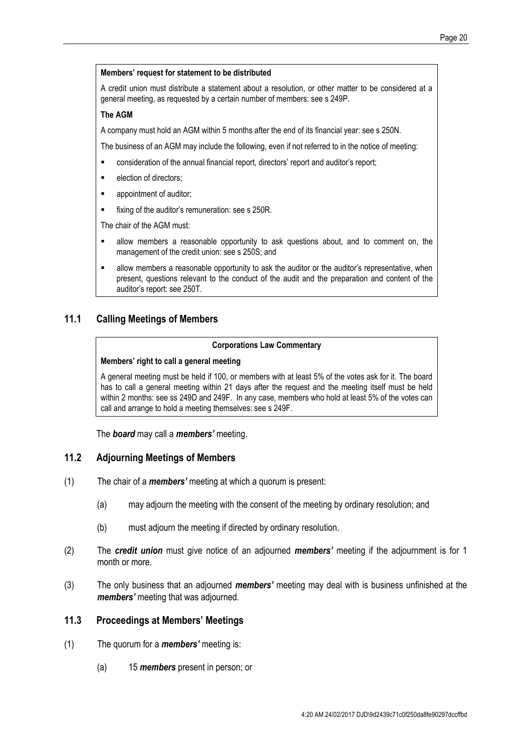#### **Members' request for statement to be distributed**

A credit union must distribute a statement about a resolution, or other matter to be considered at a general meeting, as requested by a certain number of members: see s 249P.

#### **The AGM**

A company must hold an AGM within 5 months after the end of its financial year: see s 250N.

The business of an AGM may include the following, even if not referred to in the notice of meeting:

- **EXECONS** consideration of the annual financial report, directors' report and auditor's report;
- election of directors;
- **•** appointment of auditor;
- **Fixing of the auditor's remuneration: see s 250R.**

The chair of the AGM must:

- allow members a reasonable opportunity to ask questions about, and to comment on, the management of the credit union: see s 250S; and
- allow members a reasonable opportunity to ask the auditor or the auditor's representative, when present, questions relevant to the conduct of the audit and the preparation and content of the auditor's report: see 250T.

#### **11.1 Calling Meetings of Members**

#### **Corporations Law Commentary**

#### **Members' right to call a general meeting**

A general meeting must be held if 100, or members with at least 5% of the votes ask for it. The board has to call a general meeting within 21 days after the request and the meeting itself must be held within 2 months: see ss 249D and 249F. In any case, members who hold at least 5% of the votes can call and arrange to hold a meeting themselves: see s 249F.

The *board* may call a *members'* meeting.

#### **11.2 Adjourning Meetings of Members**

- (1) The chair of a *members'* meeting at which a quorum is present:
	- (a) may adjourn the meeting with the consent of the meeting by ordinary resolution; and
	- (b) must adjourn the meeting if directed by ordinary resolution.
- (2) The *credit union* must give notice of an adjourned *members'* meeting if the adjournment is for 1 month or more.
- (3) The only business that an adjourned *members'* meeting may deal with is business unfinished at the *members'* meeting that was adjourned.

#### **11.3 Proceedings at Members' Meetings**

- (1) The quorum for a *members'* meeting is:
	- (a) 15 *members* present in person; or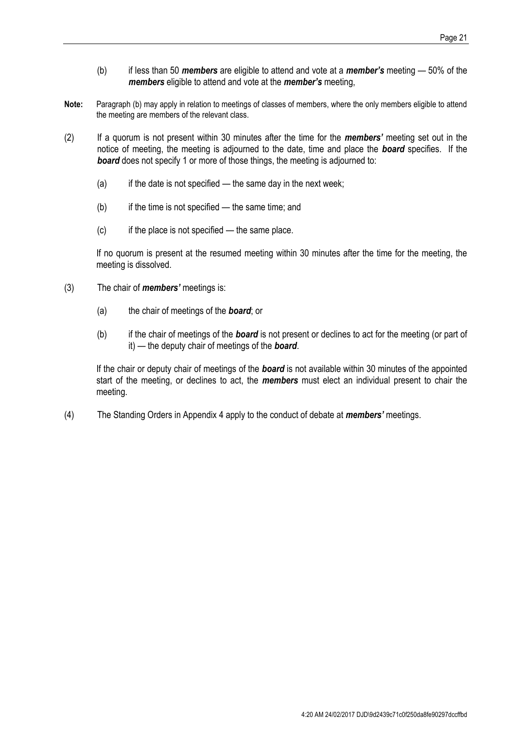- (b) if less than 50 *members* are eligible to attend and vote at a *member's* meeting 50% of the *members* eligible to attend and vote at the *member's* meeting,
- **Note:** Paragraph (b) may apply in relation to meetings of classes of members, where the only members eligible to attend the meeting are members of the relevant class.
- (2) If a quorum is not present within 30 minutes after the time for the *members'* meeting set out in the notice of meeting, the meeting is adjourned to the date, time and place the *board* specifies. If the **board** does not specify 1 or more of those things, the meeting is adjourned to:
	- $(a)$  if the date is not specified the same day in the next week;
	- $(b)$  if the time is not specified the same time; and
	- $(c)$  if the place is not specified the same place.

If no quorum is present at the resumed meeting within 30 minutes after the time for the meeting, the meeting is dissolved.

- (3) The chair of *members'* meetings is:
	- (a) the chair of meetings of the *board*; or
	- (b) if the chair of meetings of the *board* is not present or declines to act for the meeting (or part of it) — the deputy chair of meetings of the *board*.

If the chair or deputy chair of meetings of the *board* is not available within 30 minutes of the appointed start of the meeting, or declines to act, the *members* must elect an individual present to chair the meeting.

(4) The Standing Orders in Appendix 4 apply to the conduct of debate at *members'* meetings.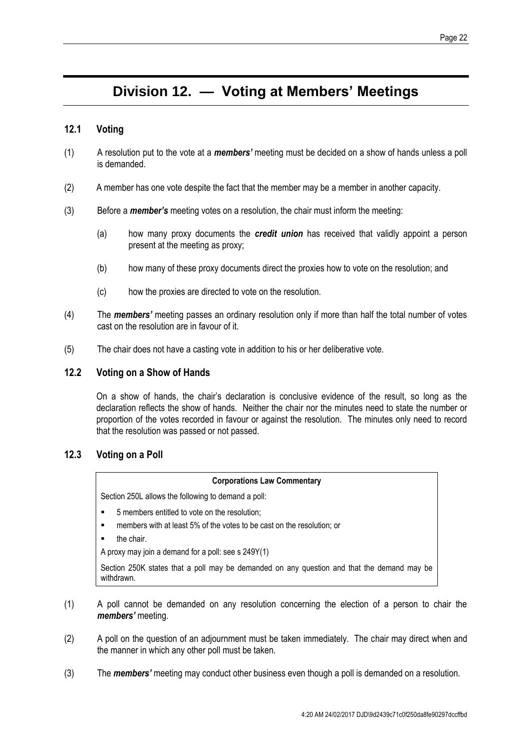## **Division 12. — Voting at Members' Meetings**

#### **12.1 Voting**

- (1) A resolution put to the vote at a *members'* meeting must be decided on a show of hands unless a poll is demanded.
- (2) A member has one vote despite the fact that the member may be a member in another capacity.
- (3) Before a *member's* meeting votes on a resolution, the chair must inform the meeting:
	- (a) how many proxy documents the *credit union* has received that validly appoint a person present at the meeting as proxy;
	- (b) how many of these proxy documents direct the proxies how to vote on the resolution; and
	- (c) how the proxies are directed to vote on the resolution.
- (4) The *members'* meeting passes an ordinary resolution only if more than half the total number of votes cast on the resolution are in favour of it.
- (5) The chair does not have a casting vote in addition to his or her deliberative vote.

#### **12.2 Voting on a Show of Hands**

On a show of hands, the chair's declaration is conclusive evidence of the result, so long as the declaration reflects the show of hands. Neither the chair nor the minutes need to state the number or proportion of the votes recorded in favour or against the resolution. The minutes only need to record that the resolution was passed or not passed.

#### **12.3 Voting on a Poll**

#### **Corporations Law Commentary**

Section 250L allows the following to demand a poll:

- 5 members entitled to vote on the resolution;
- members with at least 5% of the votes to be cast on the resolution; or
- the chair.

A proxy may join a demand for a poll: see s 249Y(1)

Section 250K states that a poll may be demanded on any question and that the demand may be withdrawn.

- (1) A poll cannot be demanded on any resolution concerning the election of a person to chair the *members'* meeting.
- (2) A poll on the question of an adjournment must be taken immediately. The chair may direct when and the manner in which any other poll must be taken.
- (3) The *members'* meeting may conduct other business even though a poll is demanded on a resolution.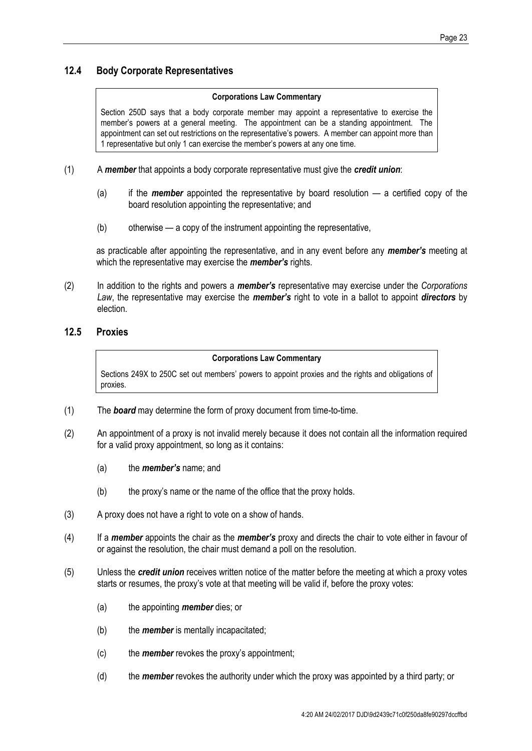#### **12.4 Body Corporate Representatives**

#### **Corporations Law Commentary**

Section 250D says that a body corporate member may appoint a representative to exercise the member's powers at a general meeting. The appointment can be a standing appointment. The appointment can set out restrictions on the representative's powers. A member can appoint more than 1 representative but only 1 can exercise the member's powers at any one time.

- (1) A *member* that appoints a body corporate representative must give the *credit union*:
	- (a) if the *member* appointed the representative by board resolution a certified copy of the board resolution appointing the representative; and
	- (b) otherwise a copy of the instrument appointing the representative,

as practicable after appointing the representative, and in any event before any *member's* meeting at which the representative may exercise the *member's* rights.

(2) In addition to the rights and powers a *member's* representative may exercise under the *Corporations Law*, the representative may exercise the *member's* right to vote in a ballot to appoint *directors* by election.

#### **12.5 Proxies**

#### **Corporations Law Commentary**

Sections 249X to 250C set out members' powers to appoint proxies and the rights and obligations of proxies.

- (1) The *board* may determine the form of proxy document from time-to-time.
- (2) An appointment of a proxy is not invalid merely because it does not contain all the information required for a valid proxy appointment, so long as it contains:
	- (a) the *member's* name; and
	- (b) the proxy's name or the name of the office that the proxy holds.
- (3) A proxy does not have a right to vote on a show of hands.
- (4) If a *member* appoints the chair as the *member's* proxy and directs the chair to vote either in favour of or against the resolution, the chair must demand a poll on the resolution.
- (5) Unless the *credit union* receives written notice of the matter before the meeting at which a proxy votes starts or resumes, the proxy's vote at that meeting will be valid if, before the proxy votes:
	- (a) the appointing *member* dies; or
	- (b) the *member* is mentally incapacitated;
	- (c) the *member* revokes the proxy's appointment;
	- (d) the *member* revokes the authority under which the proxy was appointed by a third party; or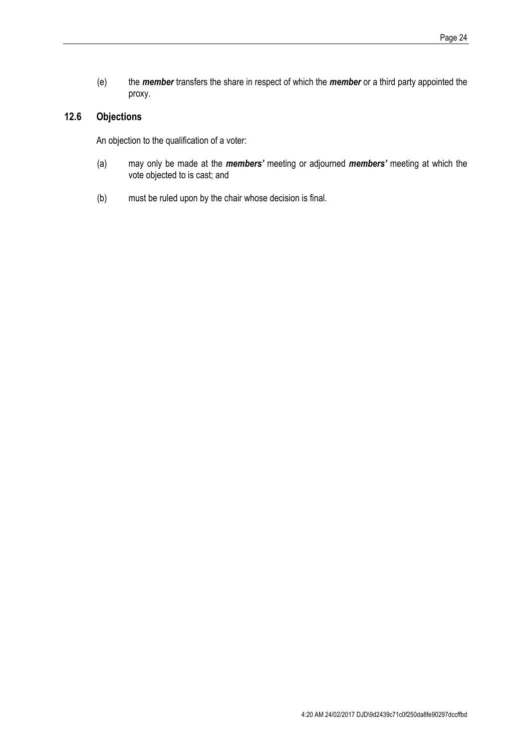(e) the *member* transfers the share in respect of which the *member* or a third party appointed the proxy.

#### **12.6 Objections**

An objection to the qualification of a voter:

- (a) may only be made at the *members'* meeting or adjourned *members'* meeting at which the vote objected to is cast; and
- (b) must be ruled upon by the chair whose decision is final.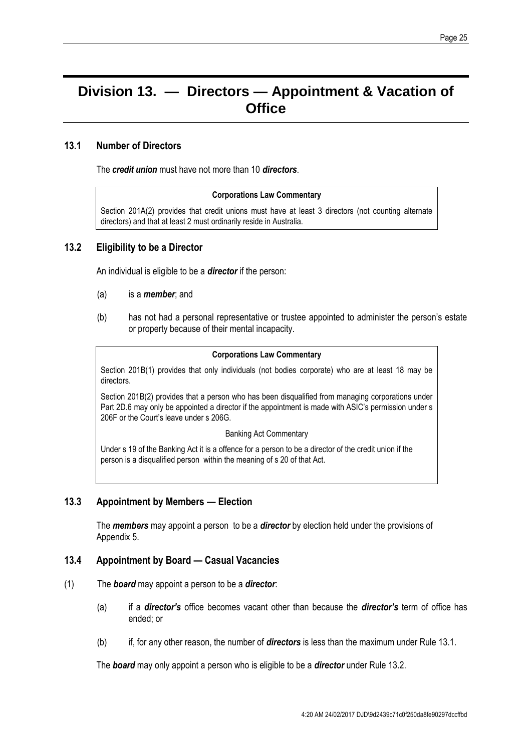#### Page 25

## **Division 13. — Directors — Appointment & Vacation of Office**

#### **13.1 Number of Directors**

<span id="page-28-0"></span>The *credit union* must have not more than 10 *directors*.

#### **Corporations Law Commentary**

Section 201A(2) provides that credit unions must have at least 3 directors (not counting alternate directors) and that at least 2 must ordinarily reside in Australia.

#### <span id="page-28-1"></span>**13.2 Eligibility to be a Director**

An individual is eligible to be a *director* if the person:

- (a) is a *member*; and
- (b) has not had a personal representative or trustee appointed to administer the person's estate or property because of their mental incapacity.

#### **Corporations Law Commentary**

Section 201B(1) provides that only individuals (not bodies corporate) who are at least 18 may be directors.

Section 201B(2) provides that a person who has been disqualified from managing corporations under Part 2D.6 may only be appointed a director if the appointment is made with ASIC's permission under s 206F or the Court's leave under s 206G.

#### Banking Act Commentary

Under s 19 of the Banking Act it is a offence for a person to be a director of the credit union if the person is a disqualified person within the meaning of s 20 of that Act.

#### **13.3 Appointment by Members — Election**

The *members* may appoint a person to be a *director* by election held under the provisions of [Appendix 5.](#page-46-0)

#### **13.4 Appointment by Board — Casual Vacancies**

- (1) The *board* may appoint a person to be a *director*:
	- (a) if a *director's* office becomes vacant other than because the *director's* term of office has ended; or
	- (b) if, for any other reason, the number of *directors* is less than the maximum under Rule [13.1.](#page-28-0)

The *board* may only appoint a person who is eligible to be a *director* under Rule [13.2.](#page-28-1)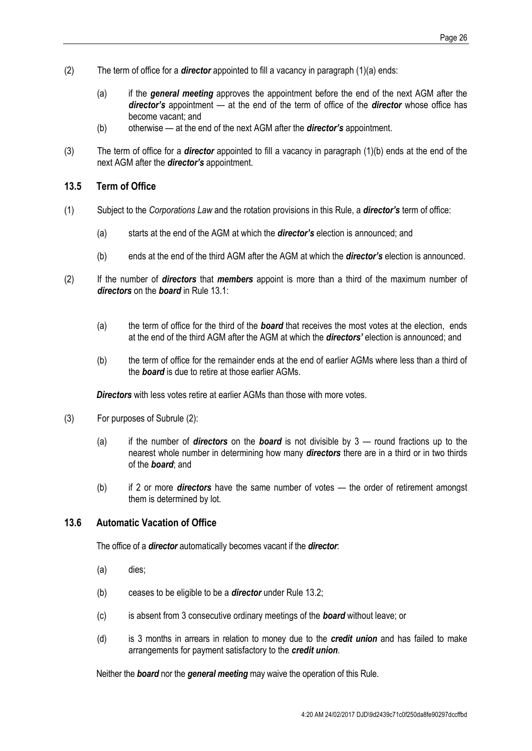- (2) The term of office for a *director* appointed to fill a vacancy in paragraph (1)(a) ends:
	- (a) if the *general meeting* approves the appointment before the end of the next AGM after the *director's* appointment — at the end of the term of office of the *director* whose office has become vacant; and
	- (b) otherwise at the end of the next AGM after the *director's* appointment.
- (3) The term of office for a *director* appointed to fill a vacancy in paragraph (1)(b) ends at the end of the next AGM after the *director's* appointment.

#### <span id="page-29-0"></span>**13.5 Term of Office**

- (1) Subject to the *Corporations Law* and the rotation provisions in this Rule, a *director's* term of office:
	- (a) starts at the end of the AGM at which the *director's* election is announced; and
	- (b) ends at the end of the third AGM after the AGM at which the *director's* election is announced.
- (2) If the number of *directors* that *members* appoint is more than a third of the maximum number of *directors* on the *board* in Rule [13.1:](#page-28-0)
	- (a) the term of office for the third of the *board* that receives the most votes at the election, ends at the end of the third AGM after the AGM at which the *directors'* election is announced; and
	- (b) the term of office for the remainder ends at the end of earlier AGMs where less than a third of the *board* is due to retire at those earlier AGMs.

**Directors** with less votes retire at earlier AGMs than those with more votes.

- (3) For purposes of Subrule (2):
	- (a) if the number of *directors* on the *board* is not divisible by 3 round fractions up to the nearest whole number in determining how many *directors* there are in a third or in two thirds of the *board*; and
	- (b) if 2 or more *directors* have the same number of votes the order of retirement amongst them is determined by lot.

#### <span id="page-29-1"></span>**13.6 Automatic Vacation of Office**

The office of a *director* automatically becomes vacant if the *director*:

- (a) dies;
- (b) ceases to be eligible to be a *director* under Rule [13.2;](#page-28-1)
- (c) is absent from 3 consecutive ordinary meetings of the *board* without leave; or
- (d) is 3 months in arrears in relation to money due to the *credit union* and has failed to make arrangements for payment satisfactory to the *credit union*.

Neither the *board* nor the *general meeting* may waive the operation of this Rule.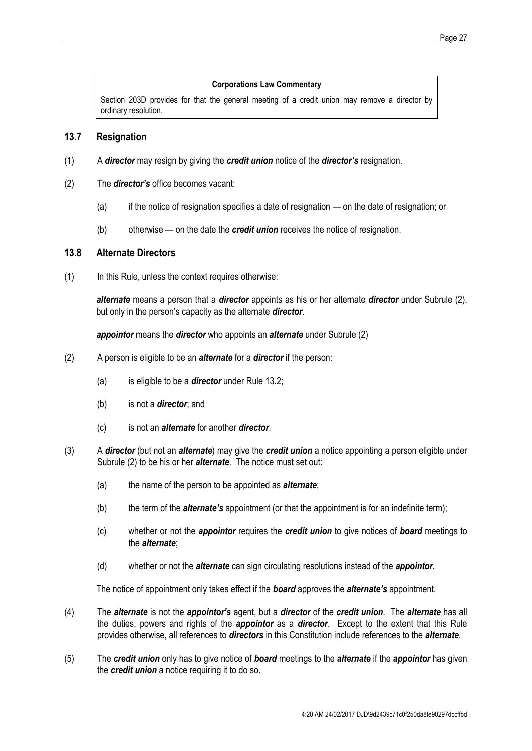#### **Corporations Law Commentary**

Section 203D provides for that the general meeting of a credit union may remove a director by ordinary resolution.

#### <span id="page-30-0"></span>**13.7 Resignation**

- (1) A *director* may resign by giving the *credit union* notice of the *director's* resignation.
- (2) The *director's* office becomes vacant:
	- (a) if the notice of resignation specifies a date of resignation on the date of resignation; or
	- (b) otherwise on the date the *credit union* receives the notice of resignation.

#### **13.8 Alternate Directors**

(1) In this Rule, unless the context requires otherwise:

*alternate* means a person that a *director* appoints as his or her alternate *director* under Subrule (2), but only in the person's capacity as the alternate *director*.

*appointor* means the *director* who appoints an *alternate* under Subrule (2)

- (2) A person is eligible to be an *alternate* for a *director* if the person:
	- (a) is eligible to be a *director* under Rule [13.2;](#page-28-1)
	- (b) is not a *director*; and
	- (c) is not an *alternate* for another *director*.
- (3) A *director* (but not an *alternate*) may give the *credit union* a notice appointing a person eligible under Subrule (2) to be his or her *alternate*. The notice must set out:
	- (a) the name of the person to be appointed as *alternate*;
	- (b) the term of the *alternate's* appointment (or that the appointment is for an indefinite term);
	- (c) whether or not the *appointor* requires the *credit union* to give notices of *board* meetings to the *alternate*;
	- (d) whether or not the *alternate* can sign circulating resolutions instead of the *appointor*.

The notice of appointment only takes effect if the *board* approves the *alternate's* appointment.

- (4) The *alternate* is not the *appointor's* agent, but a *director* of the *credit union*. The *alternate* has all the duties, powers and rights of the *appointor* as a *director*. Except to the extent that this Rule provides otherwise, all references to *directors* in this Constitution include references to the *alternate*.
- (5) The *credit union* only has to give notice of *board* meetings to the *alternate* if the *appointor* has given the *credit union* a notice requiring it to do so.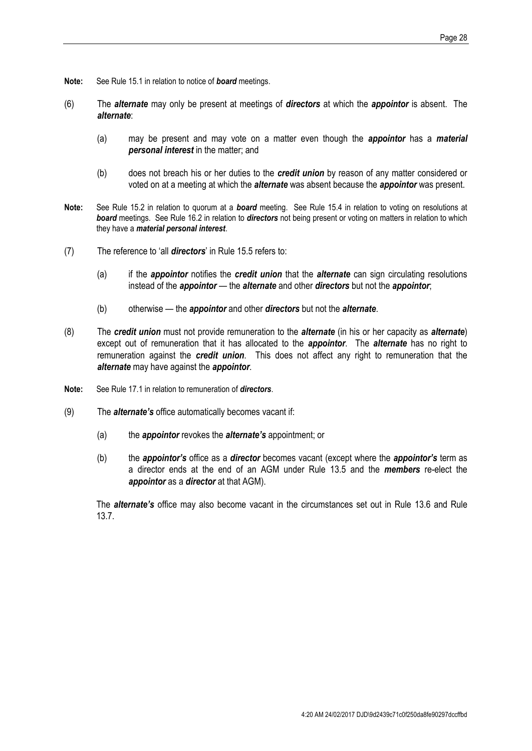- **Note:** See Rule [15.1](#page-33-0) in relation to notice of *board* meetings.
- (6) The *alternate* may only be present at meetings of *directors* at which the *appointor* is absent. The *alternate*:
	- (a) may be present and may vote on a matter even though the *appointor* has a *material personal interest* in the matter; and
	- (b) does not breach his or her duties to the *credit union* by reason of any matter considered or voted on at a meeting at which the *alternate* was absent because the *appointor* was present.
- **Note:** See Rule [15.2](#page-33-1) in relation to quorum at a *board* meeting. See Rule [15.4](#page-33-2) in relation to voting on resolutions at *board* meetings. See Rule [16.2](#page-35-0) in relation to *directors* not being present or voting on matters in relation to which they have a *material personal interest*.
- (7) The reference to 'all *directors*' in Rule [15.5](#page-34-0) refers to:
	- (a) if the *appointor* notifies the *credit union* that the *alternate* can sign circulating resolutions instead of the *appointor* — the *alternate* and other *directors* but not the *appointor*;
	- (b) otherwise the *appointor* and other *directors* but not the *alternate*.
- (8) The *credit union* must not provide remuneration to the *alternate* (in his or her capacity as *alternate*) except out of remuneration that it has allocated to the *appointor*. The *alternate* has no right to remuneration against the *credit union*. This does not affect any right to remuneration that the *alternate* may have against the *appointor*.
- **Note:** See Rule [17.1](#page-37-0) in relation to remuneration of *directors*.
- (9) The *alternate's* office automatically becomes vacant if:
	- (a) the *appointor* revokes the *alternate's* appointment; or
	- (b) the *appointor's* office as a *director* becomes vacant (except where the *appointor's* term as a director ends at the end of an AGM under Rule [13.5](#page-29-0) and the *members* re-elect the *appointor* as a *director* at that AGM).

The *alternate's* office may also become vacant in the circumstances set out in Rule [13.6](#page-29-1) and Rule [13.7.](#page-30-0)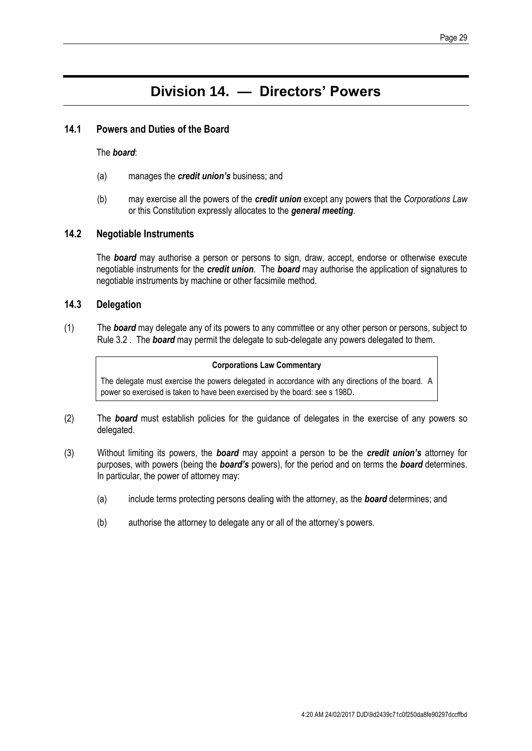## **Division 14. — Directors' Powers**

#### **14.1 Powers and Duties of the Board**

#### The *board*:

- (a) manages the *credit union's* business; and
- (b) may exercise all the powers of the *credit union* except any powers that the *Corporations Law*  or this Constitution expressly allocates to the *general meeting*.

#### **14.2 Negotiable Instruments**

The *board* may authorise a person or persons to sign, draw, accept, endorse or otherwise execute negotiable instruments for the *credit union*. The *board* may authorise the application of signatures to negotiable instruments by machine or other facsimile method.

#### **14.3 Delegation**

(1) The *board* may delegate any of its powers to any committee or any other person or persons, subject to Rule [3.2](#page-9-1) . The *board* may permit the delegate to sub-delegate any powers delegated to them.

#### **Corporations Law Commentary**

The delegate must exercise the powers delegated in accordance with any directions of the board. A power so exercised is taken to have been exercised by the board: see s 198D.

- (2) The *board* must establish policies for the guidance of delegates in the exercise of any powers so delegated.
- (3) Without limiting its powers, the *board* may appoint a person to be the *credit union's* attorney for purposes, with powers (being the *board's* powers), for the period and on terms the *board* determines. In particular, the power of attorney may:
	- (a) include terms protecting persons dealing with the attorney, as the *board* determines; and
	- (b) authorise the attorney to delegate any or all of the attorney's powers.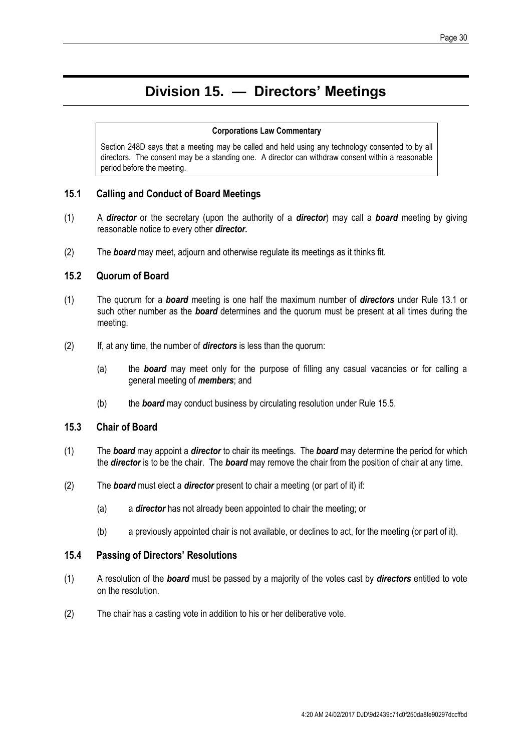## **Division 15. — Directors' Meetings**

#### **Corporations Law Commentary**

Section 248D says that a meeting may be called and held using any technology consented to by all directors. The consent may be a standing one. A director can withdraw consent within a reasonable period before the meeting.

#### <span id="page-33-0"></span>**15.1 Calling and Conduct of Board Meetings**

- (1) A *director* or the secretary (upon the authority of a *director*) may call a *board* meeting by giving reasonable notice to every other *director.*
- (2) The *board* may meet, adjourn and otherwise regulate its meetings as it thinks fit.

#### <span id="page-33-1"></span>**15.2 Quorum of Board**

- (1) The quorum for a *board* meeting is one half the maximum number of *directors* under Rule 13.1 or such other number as the *board* determines and the quorum must be present at all times during the meeting.
- (2) If, at any time, the number of *directors* is less than the quorum:
	- (a) the *board* may meet only for the purpose of filling any casual vacancies or for calling a general meeting of *members*; and
	- (b) the *board* may conduct business by circulating resolution under Rule [15.5.](#page-34-0)

#### **15.3 Chair of Board**

- (1) The *board* may appoint a *director* to chair its meetings. The *board* may determine the period for which the *director* is to be the chair. The *board* may remove the chair from the position of chair at any time.
- (2) The *board* must elect a *director* present to chair a meeting (or part of it) if:
	- (a) a *director* has not already been appointed to chair the meeting; or
	- (b) a previously appointed chair is not available, or declines to act, for the meeting (or part of it).

#### <span id="page-33-2"></span>**15.4 Passing of Directors' Resolutions**

- (1) A resolution of the *board* must be passed by a majority of the votes cast by *directors* entitled to vote on the resolution.
- (2) The chair has a casting vote in addition to his or her deliberative vote.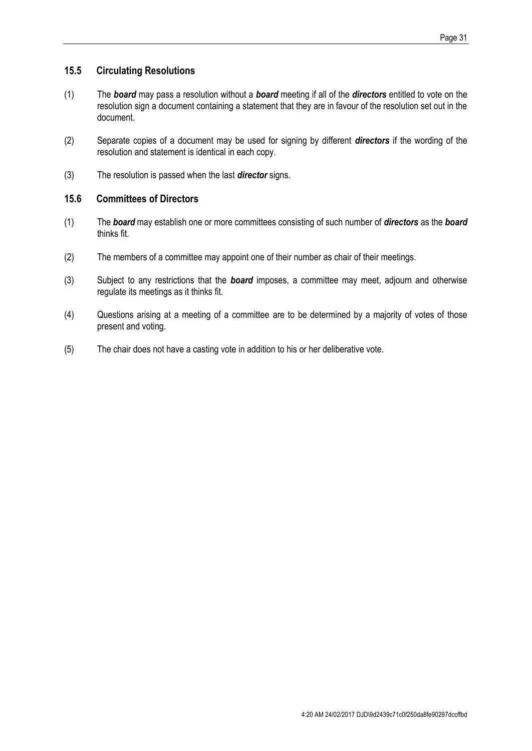#### <span id="page-34-0"></span>**15.5 Circulating Resolutions**

- (1) The *board* may pass a resolution without a *board* meeting if all of the *directors* entitled to vote on the resolution sign a document containing a statement that they are in favour of the resolution set out in the document.
- (2) Separate copies of a document may be used for signing by different *directors* if the wording of the resolution and statement is identical in each copy.
- (3) The resolution is passed when the last *director* signs.

#### **15.6 Committees of Directors**

- (1) The *board* may establish one or more committees consisting of such number of *directors* as the *board*  thinks fit.
- (2) The members of a committee may appoint one of their number as chair of their meetings.
- (3) Subject to any restrictions that the *board* imposes, a committee may meet, adjourn and otherwise regulate its meetings as it thinks fit.
- (4) Questions arising at a meeting of a committee are to be determined by a majority of votes of those present and voting.
- (5) The chair does not have a casting vote in addition to his or her deliberative vote.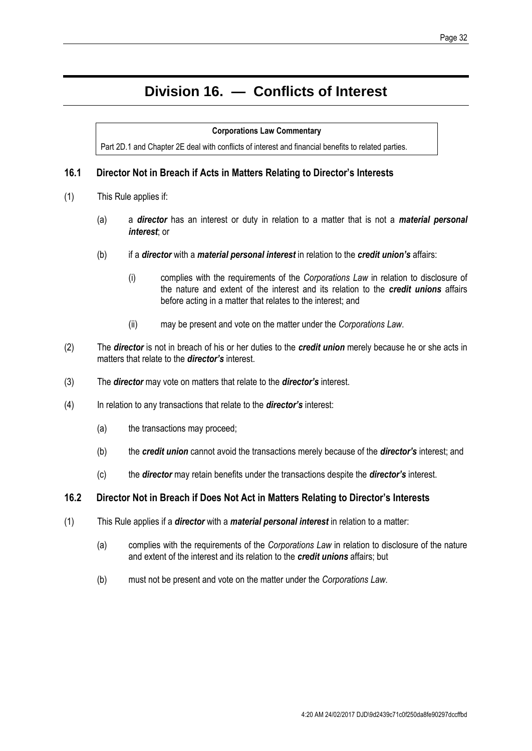## **Division 16. — Conflicts of Interest**

#### **Corporations Law Commentary**

Part 2D.1 and Chapter 2E deal with conflicts of interest and financial benefits to related parties.

#### **16.1 Director Not in Breach if Acts in Matters Relating to Director's Interests**

- (1) This Rule applies if:
	- (a) a *director* has an interest or duty in relation to a matter that is not a *material personal interest*; or
	- (b) if a *director* with a *material personal interest* in relation to the *credit union's* affairs:
		- (i) complies with the requirements of the *Corporations Law* in relation to disclosure of the nature and extent of the interest and its relation to the *credit unions* affairs before acting in a matter that relates to the interest; and
		- (ii) may be present and vote on the matter under the *Corporations Law*.
- (2) The *director* is not in breach of his or her duties to the *credit union* merely because he or she acts in matters that relate to the *director's* interest.
- (3) The *director* may vote on matters that relate to the *director's* interest.
- (4) In relation to any transactions that relate to the *director's* interest:
	- (a) the transactions may proceed;
	- (b) the *credit union* cannot avoid the transactions merely because of the *director's* interest; and
	- (c) the *director* may retain benefits under the transactions despite the *director's* interest.

#### <span id="page-35-0"></span>**16.2 Director Not in Breach if Does Not Act in Matters Relating to Director's Interests**

- (1) This Rule applies if a *director* with a *material personal interest* in relation to a matter:
	- (a) complies with the requirements of the *Corporations Law* in relation to disclosure of the nature and extent of the interest and its relation to the *credit unions* affairs; but
	- (b) must not be present and vote on the matter under the *Corporations Law*.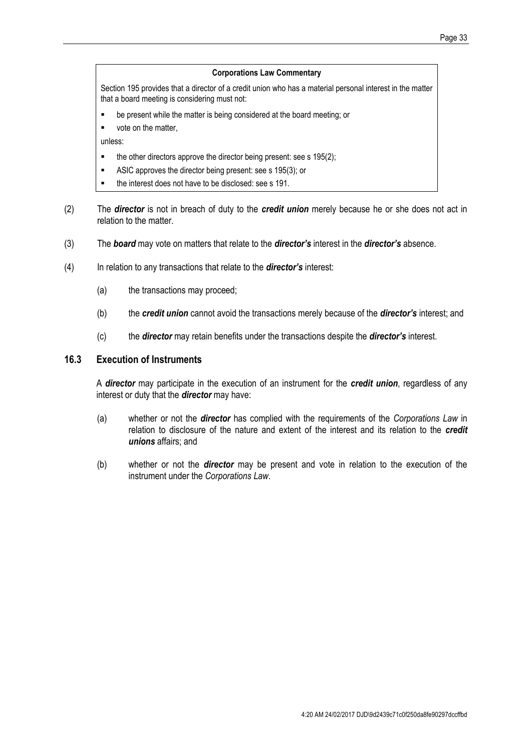#### **Corporations Law Commentary**

Section 195 provides that a director of a credit union who has a material personal interest in the matter that a board meeting is considering must not:

- be present while the matter is being considered at the board meeting; or
- vote on the matter,

unless:

- $\blacksquare$  the other directors approve the director being present: see s 195(2);
- ASIC approves the director being present: see s 195(3); or
- the interest does not have to be disclosed: see s 191.
- (2) The *director* is not in breach of duty to the *credit union* merely because he or she does not act in relation to the matter.
- (3) The *board* may vote on matters that relate to the *director's* interest in the *director's* absence.
- (4) In relation to any transactions that relate to the *director's* interest:
	- (a) the transactions may proceed;
	- (b) the *credit union* cannot avoid the transactions merely because of the *director's* interest; and
	- (c) the *director* may retain benefits under the transactions despite the *director's* interest.

#### **16.3 Execution of Instruments**

A *director* may participate in the execution of an instrument for the *credit union*, regardless of any interest or duty that the *director* may have:

- (a) whether or not the *director* has complied with the requirements of the *Corporations Law* in relation to disclosure of the nature and extent of the interest and its relation to the *credit unions* affairs; and
- (b) whether or not the *director* may be present and vote in relation to the execution of the instrument under the *Corporations Law*.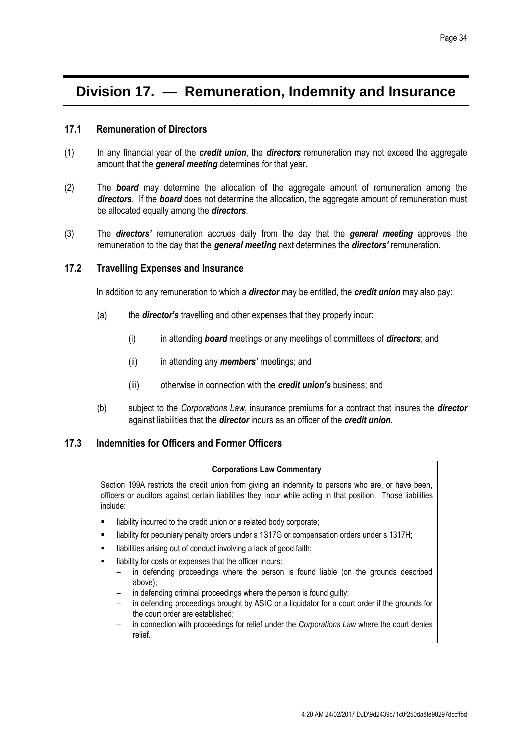## **Division 17. — Remuneration, Indemnity and Insurance**

#### <span id="page-37-0"></span>**17.1 Remuneration of Directors**

- (1) In any financial year of the *credit union*, the *directors* remuneration may not exceed the aggregate amount that the *general meeting* determines for that year.
- (2) The *board* may determine the allocation of the aggregate amount of remuneration among the *directors*. If the *board* does not determine the allocation, the aggregate amount of remuneration must be allocated equally among the *directors*.
- (3) The *directors'* remuneration accrues daily from the day that the *general meeting* approves the remuneration to the day that the *general meeting* next determines the *directors'* remuneration.

#### **17.2 Travelling Expenses and Insurance**

In addition to any remuneration to which a *director* may be entitled, the *credit union* may also pay:

- (a) the *director's* travelling and other expenses that they properly incur:
	- (i) in attending *board* meetings or any meetings of committees of *directors*; and
	- (ii) in attending any *members'* meetings; and
	- (iii) otherwise in connection with the *credit union's* business; and
- (b) subject to the *Corporations Law*, insurance premiums for a contract that insures the *director*  against liabilities that the *director* incurs as an officer of the *credit union*.

#### **17.3 Indemnities for Officers and Former Officers**

#### **Corporations Law Commentary**

Section 199A restricts the credit union from giving an indemnity to persons who are, or have been, officers or auditors against certain liabilities they incur while acting in that position. Those liabilities include:

- **EXEDENT** liability incurred to the credit union or a related body corporate;
- liability for pecuniary penalty orders under s 1317G or compensation orders under s 1317H;
- **EXECUTE:** liabilities arising out of conduct involving a lack of good faith;
- liability for costs or expenses that the officer incurs:
	- in defending proceedings where the person is found liable (on the grounds described above);
	- in defending criminal proceedings where the person is found guilty;
	- in defending proceedings brought by ASIC or a liquidator for a court order if the grounds for the court order are established;
	- in connection with proceedings for relief under the *Corporations Law* where the court denies relief.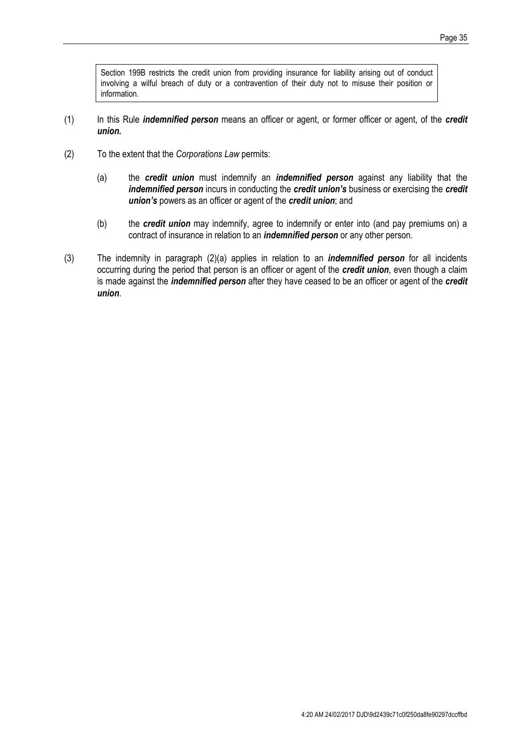Section 199B restricts the credit union from providing insurance for liability arising out of conduct involving a wilful breach of duty or a contravention of their duty not to misuse their position or information.

- (1) In this Rule *indemnified person* means an officer or agent, or former officer or agent, of the *credit union.*
- <span id="page-38-0"></span>(2) To the extent that the *Corporations Law* permits:
	- (a) the *credit union* must indemnify an *indemnified person* against any liability that the *indemnified person* incurs in conducting the *credit union's* business or exercising the *credit union's* powers as an officer or agent of the *credit union*; and
	- (b) the *credit union* may indemnify, agree to indemnify or enter into (and pay premiums on) a contract of insurance in relation to an *indemnified person* or any other person.
- (3) The indemnity in paragraph [\(2\)\(](#page-38-0)a) applies in relation to an *indemnified person* for all incidents occurring during the period that person is an officer or agent of the *credit union*, even though a claim is made against the *indemnified person* after they have ceased to be an officer or agent of the *credit union*.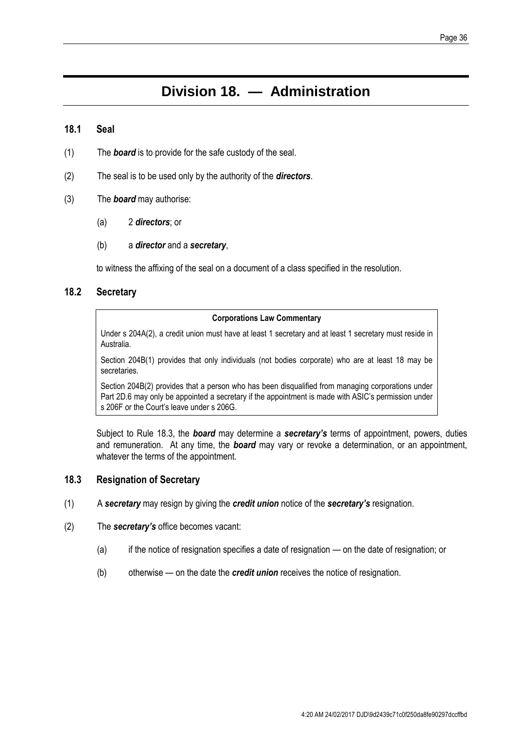## **Division 18. — Administration**

#### **18.1 Seal**

- (1) The *board* is to provide for the safe custody of the seal.
- (2) The seal is to be used only by the authority of the *directors*.
- (3) The *board* may authorise:
	- (a) 2 *directors*; or
	- (b) a *director* and a *secretary*,

to witness the affixing of the seal on a document of a class specified in the resolution.

#### **18.2 Secretary**

#### **Corporations Law Commentary**

Under s 204A(2), a credit union must have at least 1 secretary and at least 1 secretary must reside in Australia.

Section 204B(1) provides that only individuals (not bodies corporate) who are at least 18 may be secretaries.

Section 204B(2) provides that a person who has been disqualified from managing corporations under Part 2D.6 may only be appointed a secretary if the appointment is made with ASIC's permission under s 206F or the Court's leave under s 206G.

Subject to Rule [18.3,](#page-39-0) the *board* may determine a *secretary's* terms of appointment, powers, duties and remuneration. At any time, the *board* may vary or revoke a determination, or an appointment, whatever the terms of the appointment.

#### <span id="page-39-0"></span>**18.3 Resignation of Secretary**

- (1) A *secretary* may resign by giving the *credit union* notice of the *secretary's* resignation.
- (2) The *secretary's* office becomes vacant:
	- (a) if the notice of resignation specifies a date of resignation on the date of resignation; or
	- (b) otherwise on the date the *credit union* receives the notice of resignation.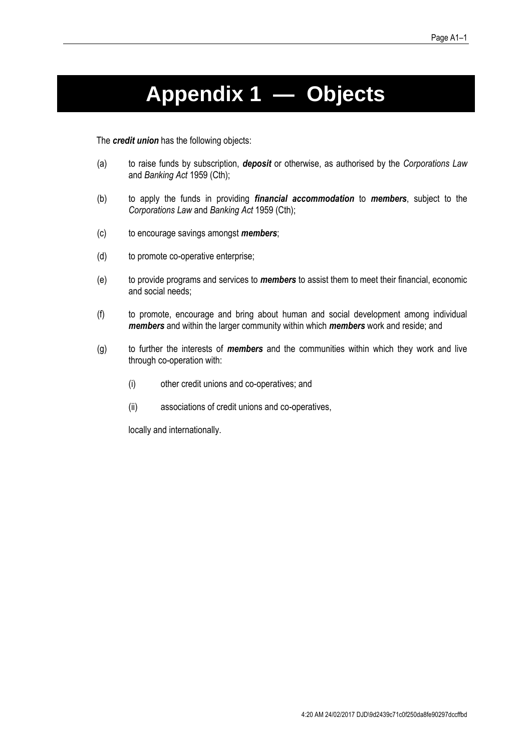# **Appendix 1 — Objects**

<span id="page-40-0"></span>The *credit union* has the following objects:

- (a) to raise funds by subscription, *deposit* or otherwise, as authorised by the *Corporations Law* and *Banking Act* 1959 (Cth);
- (b) to apply the funds in providing *financial accommodation* to *members*, subject to the *Corporations Law* and *Banking Act* 1959 (Cth);
- (c) to encourage savings amongst *members*;
- (d) to promote co-operative enterprise;
- (e) to provide programs and services to *members* to assist them to meet their financial, economic and social needs;
- (f) to promote, encourage and bring about human and social development among individual *members* and within the larger community within which *members* work and reside; and
- (g) to further the interests of *members* and the communities within which they work and live through co-operation with:
	- (i) other credit unions and co-operatives; and
	- (ii) associations of credit unions and co-operatives,

locally and internationally.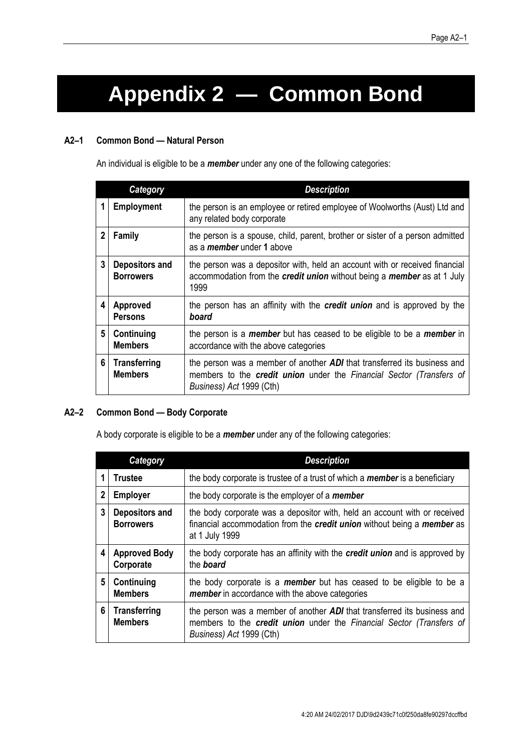# <span id="page-41-0"></span>**Appendix 2 — Common Bond**

#### **A2–1 Common Bond — Natural Person**

An individual is eligible to be a *member* under any one of the following categories:

| Category     |                                       | <b>Description</b>                                                                                                                                                                  |
|--------------|---------------------------------------|-------------------------------------------------------------------------------------------------------------------------------------------------------------------------------------|
| 1            | <b>Employment</b>                     | the person is an employee or retired employee of Woolworths (Aust) Ltd and<br>any related body corporate                                                                            |
| $\mathbf{2}$ | Family                                | the person is a spouse, child, parent, brother or sister of a person admitted<br>as a <i>member</i> under 1 above                                                                   |
| 3            | Depositors and<br><b>Borrowers</b>    | the person was a depositor with, held an account with or received financial<br>accommodation from the credit union without being a member as at 1 July<br>1999                      |
| 4            | Approved<br><b>Persons</b>            | the person has an affinity with the <b>credit union</b> and is approved by the<br>board                                                                                             |
| 5            | Continuing<br><b>Members</b>          | the person is a <i>member</i> but has ceased to be eligible to be a <i>member</i> in<br>accordance with the above categories                                                        |
| 6            | <b>Transferring</b><br><b>Members</b> | the person was a member of another <b>ADI</b> that transferred its business and<br>members to the credit union under the Financial Sector (Transfers of<br>Business) Act 1999 (Cth) |

#### **A2–2 Common Bond — Body Corporate**

A body corporate is eligible to be a *member* under any of the following categories:

| <b>Category</b> |                                       | <b>Description</b>                                                                                                                                                                  |  |
|-----------------|---------------------------------------|-------------------------------------------------------------------------------------------------------------------------------------------------------------------------------------|--|
|                 | <b>Trustee</b>                        | the body corporate is trustee of a trust of which a <b>member</b> is a beneficiary                                                                                                  |  |
| 2               | <b>Employer</b>                       | the body corporate is the employer of a <i>member</i>                                                                                                                               |  |
| 3               | Depositors and<br><b>Borrowers</b>    | the body corporate was a depositor with, held an account with or received<br>financial accommodation from the credit union without being a member as<br>at 1 July 1999              |  |
| 4               | <b>Approved Body</b><br>Corporate     | the body corporate has an affinity with the <b>credit union</b> and is approved by<br>the board                                                                                     |  |
| 5               | Continuing<br><b>Members</b>          | the body corporate is a <b>member</b> but has ceased to be eligible to be a<br><b>member</b> in accordance with the above categories                                                |  |
| 6               | <b>Transferring</b><br><b>Members</b> | the person was a member of another <b>ADI</b> that transferred its business and<br>members to the credit union under the Financial Sector (Transfers of<br>Business) Act 1999 (Cth) |  |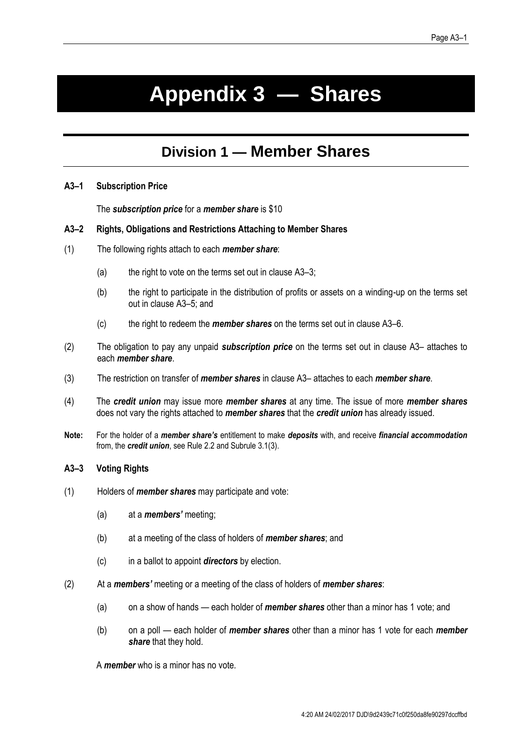# <span id="page-42-0"></span>**Appendix 3 — Shares**

## **Division 1 — Member Shares**

#### **A3–1 Subscription Price**

The *subscription price* for a *member share* is \$10

#### **A3–2 Rights, Obligations and Restrictions Attaching to Member Shares**

- (1) The following rights attach to each *member share*:
	- (a) the right to vote on the terms set out in clause  $A3-3$ ;
	- (b) the right to participate in the distribution of profits or assets on a winding-up on the terms set out in clause [A3](#page-43-0)–5; and
	- (c) the right to redeem the *member shares* on the terms set out in clause [A3](#page-43-1)–6.
- (2) The obligation to pay any unpaid *subscription price* on the terms set out in clause [A3](#page-44-0) attaches to each *member share*.
- (3) The restriction on transfer of *member shares* in clause [A3](#page-44-1) attaches to each *member share*.
- (4) The *credit union* may issue more *member shares* at any time. The issue of more *member shares* does not vary the rights attached to *member shares* that the *credit union* has already issued.
- **Note:** For the holder of a *member share's* entitlement to make *deposits* with, and receive *financial accommodation*  from, the *credit union*, see Rule [2.2](#page-8-0) and Subrule [3.1\(3\).](#page-9-2)

#### <span id="page-42-1"></span>**A3–3 Voting Rights**

- (1) Holders of *member shares* may participate and vote:
	- (a) at a *members'* meeting;
	- (b) at a meeting of the class of holders of *member shares*; and
	- (c) in a ballot to appoint *directors* by election.
- (2) At a *members'* meeting or a meeting of the class of holders of *member shares*:
	- (a) on a show of hands each holder of *member shares* other than a minor has 1 vote; and
	- (b) on a poll each holder of *member shares* other than a minor has 1 vote for each *member share* that they hold.

A *member* who is a minor has no vote.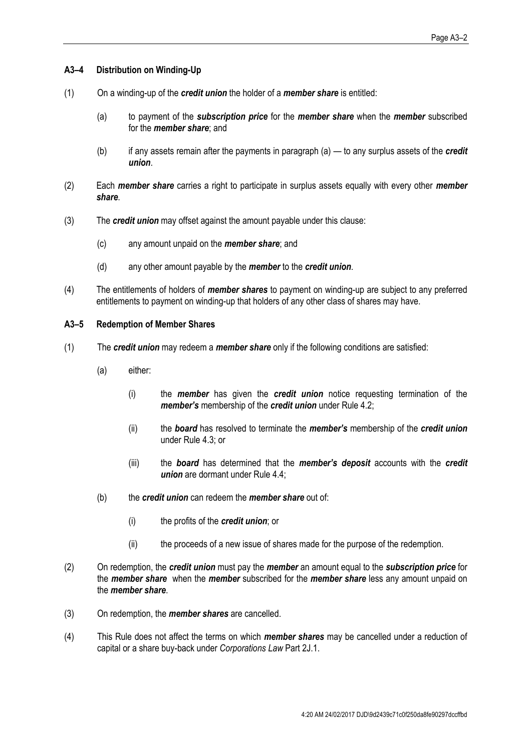#### <span id="page-43-0"></span>**A3–4 Distribution on Winding-Up**

- (1) On a winding-up of the *credit union* the holder of a *member share* is entitled:
	- (a) to payment of the *subscription price* for the *member share* when the *member* subscribed for the *member share*; and
	- (b) if any assets remain after the payments in paragraph (a) to any surplus assets of the *credit union*.
- (2) Each *member share* carries a right to participate in surplus assets equally with every other *member share*.
- (3) The *credit union* may offset against the amount payable under this clause:
	- (c) any amount unpaid on the *member share*; and
	- (d) any other amount payable by the *member* to the *credit union*.
- (4) The entitlements of holders of *member shares* to payment on winding-up are subject to any preferred entitlements to payment on winding-up that holders of any other class of shares may have.

#### <span id="page-43-1"></span>**A3–5 Redemption of Member Shares**

- (1) The *credit union* may redeem a *member share* only if the following conditions are satisfied:
	- (a) either:
		- (i) the *member* has given the *credit union* notice requesting termination of the *member's* membership of the *credit union* under Rule [4.2;](#page-11-0)
		- (ii) the *board* has resolved to terminate the *member's* membership of the *credit union* under Rule [4.3;](#page-11-1) or
		- (iii) the *board* has determined that the *member's deposit* accounts with the *credit union* are dormant under Rule [4.4;](#page-12-0)
	- (b) the *credit union* can redeem the *member share* out of:
		- (i) the profits of the *credit union*; or
		- (ii) the proceeds of a new issue of shares made for the purpose of the redemption.
- (2) On redemption, the *credit union* must pay the *member* an amount equal to the *subscription price* for the *member share* when the *member* subscribed for the *member share* less any amount unpaid on the *member share*.
- (3) On redemption, the *member shares* are cancelled.
- (4) This Rule does not affect the terms on which *member shares* may be cancelled under a reduction of capital or a share buy-back under *Corporations Law* Part 2J.1.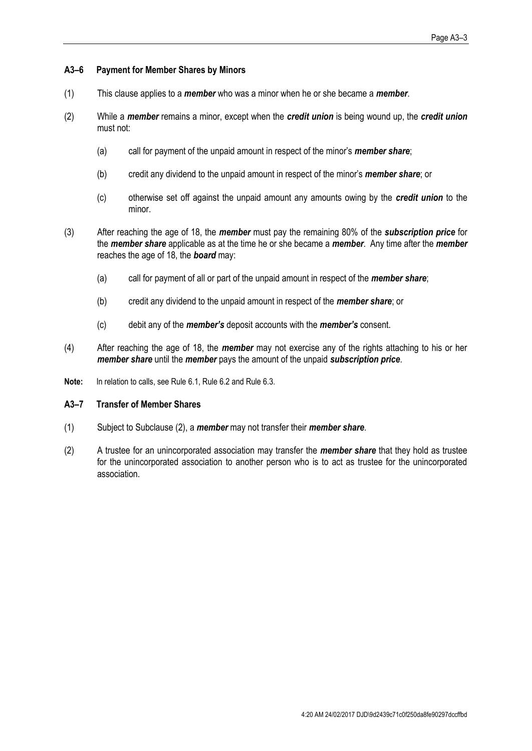#### <span id="page-44-0"></span>**A3–6 Payment for Member Shares by Minors**

- (1) This clause applies to a *member* who was a minor when he or she became a *member*.
- (2) While a *member* remains a minor, except when the *credit union* is being wound up, the *credit union* must not:
	- (a) call for payment of the unpaid amount in respect of the minor's *member share*;
	- (b) credit any dividend to the unpaid amount in respect of the minor's *member share*; or
	- (c) otherwise set off against the unpaid amount any amounts owing by the *credit union* to the minor.
- (3) After reaching the age of 18, the *member* must pay the remaining 80% of the *subscription price* for the *member share* applicable as at the time he or she became a *member*. Any time after the *member*  reaches the age of 18, the *board* may:
	- (a) call for payment of all or part of the unpaid amount in respect of the *member share*;
	- (b) credit any dividend to the unpaid amount in respect of the *member share*; or
	- (c) debit any of the *member's* deposit accounts with the *member's* consent.
- (4) After reaching the age of 18, the *member* may not exercise any of the rights attaching to his or her *member share* until the *member* pays the amount of the unpaid *subscription price*.
- **Note:** In relation to calls, see Rule [6.1,](#page-14-1) Rule [6.2](#page-14-2) and Rul[e 6.3.](#page-15-4)

#### <span id="page-44-1"></span>**A3–7 Transfer of Member Shares**

- (1) Subject to Subclaus[e \(2\),](#page-44-2) a *member* may not transfer their *member share*.
- <span id="page-44-2"></span>(2) A trustee for an unincorporated association may transfer the *member share* that they hold as trustee for the unincorporated association to another person who is to act as trustee for the unincorporated association.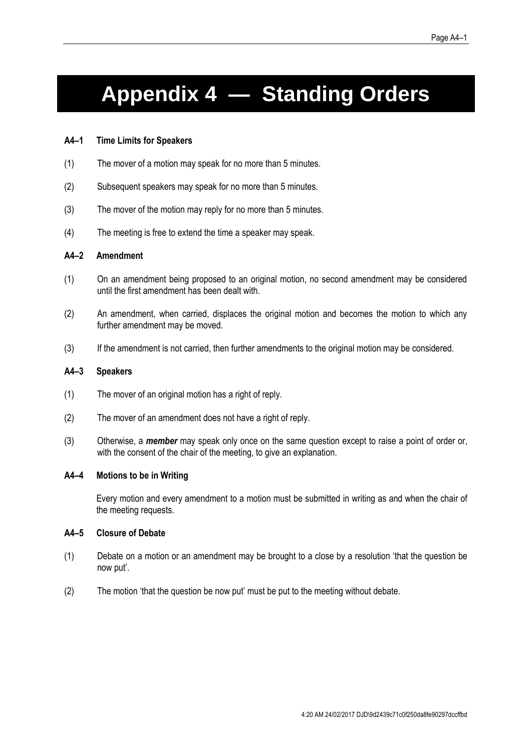# **Appendix 4 — Standing Orders**

#### **A4–1 Time Limits for Speakers**

- (1) The mover of a motion may speak for no more than 5 minutes.
- (2) Subsequent speakers may speak for no more than 5 minutes.
- (3) The mover of the motion may reply for no more than 5 minutes.
- (4) The meeting is free to extend the time a speaker may speak.

#### **A4–2 Amendment**

- (1) On an amendment being proposed to an original motion, no second amendment may be considered until the first amendment has been dealt with.
- (2) An amendment, when carried, displaces the original motion and becomes the motion to which any further amendment may be moved.
- (3) If the amendment is not carried, then further amendments to the original motion may be considered.

#### **A4–3 Speakers**

- (1) The mover of an original motion has a right of reply.
- (2) The mover of an amendment does not have a right of reply.
- (3) Otherwise, a *member* may speak only once on the same question except to raise a point of order or, with the consent of the chair of the meeting, to give an explanation.

#### **A4–4 Motions to be in Writing**

Every motion and every amendment to a motion must be submitted in writing as and when the chair of the meeting requests.

#### **A4–5 Closure of Debate**

- (1) Debate on a motion or an amendment may be brought to a close by a resolution 'that the question be now put'.
- (2) The motion 'that the question be now put' must be put to the meeting without debate.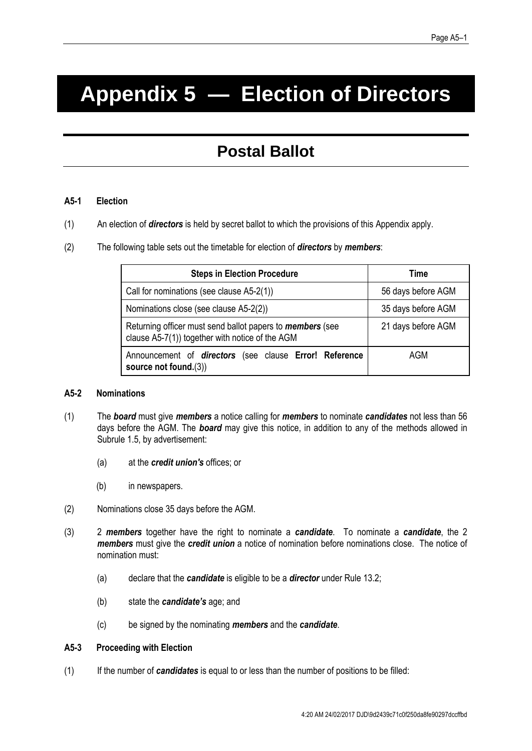# <span id="page-46-0"></span>**Appendix 5 — Election of Directors**

## **Postal Ballot**

#### **A5-1 Election**

- (1) An election of *directors* is held by secret ballot to which the provisions of this Appendix apply.
- (2) The following table sets out the timetable for election of *directors* by *members*:

| <b>Steps in Election Procedure</b>                                                                                  | Time               |
|---------------------------------------------------------------------------------------------------------------------|--------------------|
| Call for nominations (see clause A5-2(1))                                                                           | 56 days before AGM |
| Nominations close (see clause A5-2(2))                                                                              | 35 days before AGM |
| Returning officer must send ballot papers to <i>members</i> (see<br>clause A5-7(1)) together with notice of the AGM | 21 days before AGM |
| Announcement of directors (see clause Error! Reference<br>source not found.(3))                                     | AGM                |

#### <span id="page-46-1"></span>**A5-2 Nominations**

- (1) The *board* must give *members* a notice calling for *members* to nominate *candidates* not less than 56 days before the AGM. The *board* may give this notice, in addition to any of the methods allowed in Subrule 1.5, by advertisement:
	- (a) at the *credit union's* offices; or
	- (b) in newspapers.
- (2) Nominations close 35 days before the AGM.
- (3) 2 *members* together have the right to nominate a *candidate*. To nominate a *candidate*, the 2 *members* must give the *credit union* a notice of nomination before nominations close. The notice of nomination must:
	- (a) declare that the *candidate* is eligible to be a *director* under Rule [13.2;](#page-28-1)
	- (b) state the *candidate's* age; and
	- (c) be signed by the nominating *members* and the *candidate*.

#### **A5-3 Proceeding with Election**

(1) If the number of *candidates* is equal to or less than the number of positions to be filled: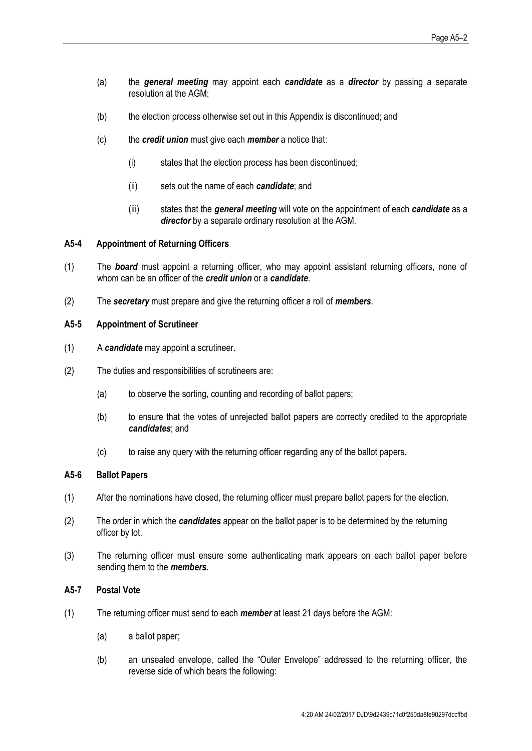- (a) the *general meeting* may appoint each *candidate* as a *director* by passing a separate resolution at the AGM;
- (b) the election process otherwise set out in this Appendix is discontinued; and
- (c) the *credit union* must give each *member* a notice that:
	- (i) states that the election process has been discontinued;
	- (ii) sets out the name of each *candidate*; and
	- (iii) states that the *general meeting* will vote on the appointment of each *candidate* as a *director* by a separate ordinary resolution at the AGM.

#### **A5-4 Appointment of Returning Officers**

- (1) The *board* must appoint a returning officer, who may appoint assistant returning officers, none of whom can be an officer of the *credit union* or a *candidate*.
- (2) The *secretary* must prepare and give the returning officer a roll of *members*.

#### **A5-5 Appointment of Scrutineer**

- (1) A *candidate* may appoint a scrutineer.
- (2) The duties and responsibilities of scrutineers are:
	- (a) to observe the sorting, counting and recording of ballot papers;
	- (b) to ensure that the votes of unrejected ballot papers are correctly credited to the appropriate *candidates*; and
	- (c) to raise any query with the returning officer regarding any of the ballot papers.

#### **A5-6 Ballot Papers**

- (1) After the nominations have closed, the returning officer must prepare ballot papers for the election.
- (2) The order in which the *candidates* appear on the ballot paper is to be determined by the returning officer by lot.
- (3) The returning officer must ensure some authenticating mark appears on each ballot paper before sending them to the *members*.

#### <span id="page-47-0"></span>**A5-7 Postal Vote**

- (1) The returning officer must send to each *member* at least 21 days before the AGM:
	- (a) a ballot paper;
	- (b) an unsealed envelope, called the "Outer Envelope" addressed to the returning officer, the reverse side of which bears the following: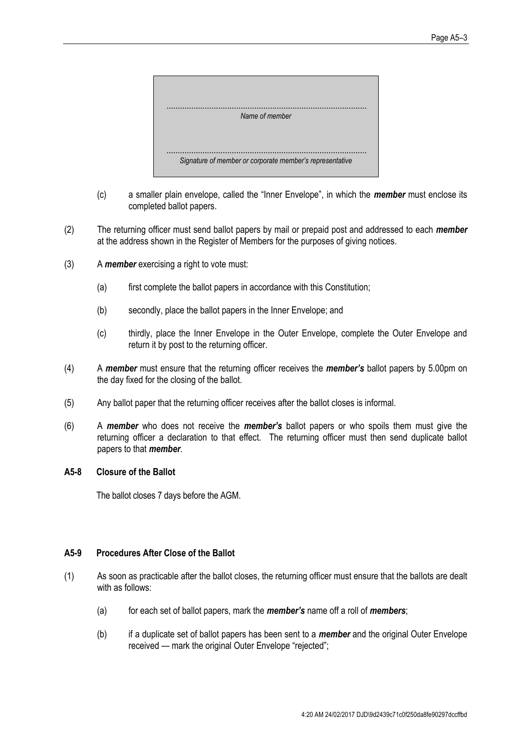

- (c) a smaller plain envelope, called the "Inner Envelope", in which the *member* must enclose its completed ballot papers.
- (2) The returning officer must send ballot papers by mail or prepaid post and addressed to each *member* at the address shown in the Register of Members for the purposes of giving notices.
- (3) A *member* exercising a right to vote must:
	- (a) first complete the ballot papers in accordance with this Constitution;
	- (b) secondly, place the ballot papers in the Inner Envelope; and
	- (c) thirdly, place the Inner Envelope in the Outer Envelope, complete the Outer Envelope and return it by post to the returning officer.
- (4) A *member* must ensure that the returning officer receives the *member's* ballot papers by 5.00pm on the day fixed for the closing of the ballot.
- (5) Any ballot paper that the returning officer receives after the ballot closes is informal.
- (6) A *member* who does not receive the *member's* ballot papers or who spoils them must give the returning officer a declaration to that effect. The returning officer must then send duplicate ballot papers to that *member*.

#### **A5-8 Closure of the Ballot**

The ballot closes 7 days before the AGM.

#### **A5-9 Procedures After Close of the Ballot**

- (1) As soon as practicable after the ballot closes, the returning officer must ensure that the ballots are dealt with as follows:
	- (a) for each set of ballot papers, mark the *member's* name off a roll of *members*;
	- (b) if a duplicate set of ballot papers has been sent to a *member* and the original Outer Envelope received — mark the original Outer Envelope "rejected";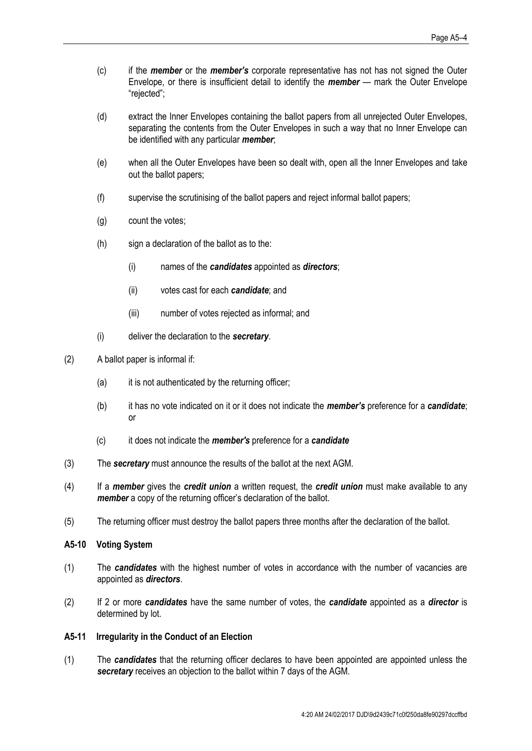- (c) if the *member* or the *member's* corporate representative has not has not signed the Outer Envelope, or there is insufficient detail to identify the *member* — mark the Outer Envelope "rejected";
- (d) extract the Inner Envelopes containing the ballot papers from all unrejected Outer Envelopes, separating the contents from the Outer Envelopes in such a way that no Inner Envelope can be identified with any particular *member*;
- (e) when all the Outer Envelopes have been so dealt with, open all the Inner Envelopes and take out the ballot papers;
- (f) supervise the scrutinising of the ballot papers and reject informal ballot papers;
- (g) count the votes;
- (h) sign a declaration of the ballot as to the:
	- (i) names of the *candidates* appointed as *directors*;
	- (ii) votes cast for each *candidate*; and
	- (iii) number of votes rejected as informal; and
- (i) deliver the declaration to the *secretary*.
- (2) A ballot paper is informal if:
	- (a) it is not authenticated by the returning officer;
	- (b) it has no vote indicated on it or it does not indicate the *member's* preference for a *candidate*; or
	- (c) it does not indicate the *member's* preference for a *candidate*
- <span id="page-49-0"></span>(3) The *secretary* must announce the results of the ballot at the next AGM.
- (4) If a *member* gives the *credit union* a written request, the *credit union* must make available to any *member* a copy of the returning officer's declaration of the ballot.
- (5) The returning officer must destroy the ballot papers three months after the declaration of the ballot.

#### **A5-10 Voting System**

- (1) The *candidates* with the highest number of votes in accordance with the number of vacancies are appointed as *directors*.
- (2) If 2 or more *candidates* have the same number of votes, the *candidate* appointed as a *director* is determined by lot.

#### **A5-11 Irregularity in the Conduct of an Election**

(1) The *candidates* that the returning officer declares to have been appointed are appointed unless the *secretary* receives an objection to the ballot within 7 days of the AGM.